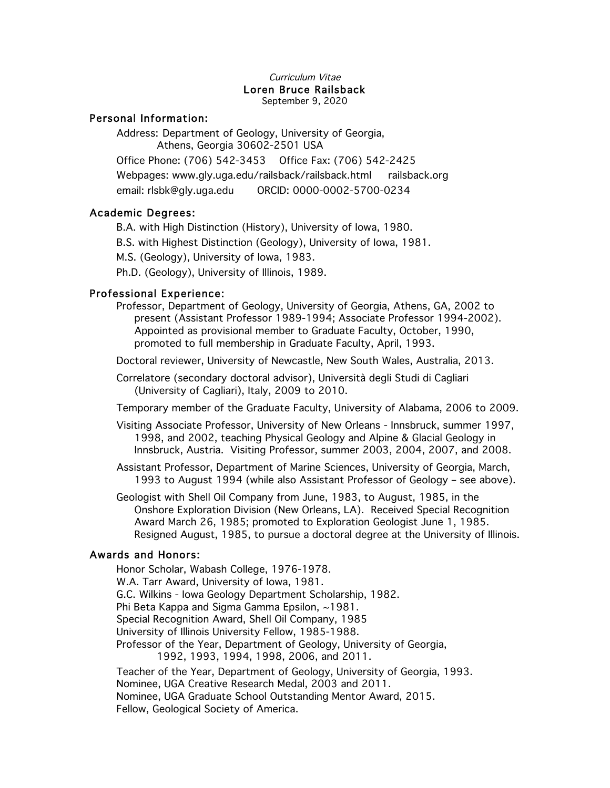#### Curriculum Vitae Loren Bruce Railsback September 9, 2020

### Personal Information:

Address: Department of Geology, University of Georgia, Athens, Georgia 30602-2501 USA Office Phone: (706) 542-3453 Office Fax: (706) 542-2425 Webpages: www.gly.uga.edu/railsback/railsback.html railsback.org email: rlsbk@gly.uga.edu ORCID: 0000-0002-5700-0234

# Academic Degrees:

B.A. with High Distinction (History), University of Iowa, 1980.

B.S. with Highest Distinction (Geology), University of Iowa, 1981.

M.S. (Geology), University of Iowa, 1983.

Ph.D. (Geology), University of Illinois, 1989.

# Professional Experience:

Professor, Department of Geology, University of Georgia, Athens, GA, 2002 to present (Assistant Professor 1989-1994; Associate Professor 1994-2002). Appointed as provisional member to Graduate Faculty, October, 1990, promoted to full membership in Graduate Faculty, April, 1993.

Doctoral reviewer, University of Newcastle, New South Wales, Australia, 2013.

Correlatore (secondary doctoral advisor), Università degli Studi di Cagliari (University of Cagliari), Italy, 2009 to 2010.

Temporary member of the Graduate Faculty, University of Alabama, 2006 to 2009.

Visiting Associate Professor, University of New Orleans - Innsbruck, summer 1997, 1998, and 2002, teaching Physical Geology and Alpine & Glacial Geology in Innsbruck, Austria. Visiting Professor, summer 2003, 2004, 2007, and 2008.

Assistant Professor, Department of Marine Sciences, University of Georgia, March, 1993 to August 1994 (while also Assistant Professor of Geology – see above).

Geologist with Shell Oil Company from June, 1983, to August, 1985, in the Onshore Exploration Division (New Orleans, LA). Received Special Recognition Award March 26, 1985; promoted to Exploration Geologist June 1, 1985. Resigned August, 1985, to pursue a doctoral degree at the University of Illinois.

# Awards and Honors:

Honor Scholar, Wabash College, 1976-1978. W.A. Tarr Award, University of Iowa, 1981. G.C. Wilkins - Iowa Geology Department Scholarship, 1982. Phi Beta Kappa and Sigma Gamma Epsilon, ~1981. Special Recognition Award, Shell Oil Company, 1985 University of Illinois University Fellow, 1985-1988. Professor of the Year, Department of Geology, University of Georgia, 1992, 1993, 1994, 1998, 2006, and 2011. Teacher of the Year, Department of Geology, University of Georgia, 1993. Nominee, UGA Creative Research Medal, 2003 and 2011. Nominee, UGA Graduate School Outstanding Mentor Award, 2015. Fellow, Geological Society of America.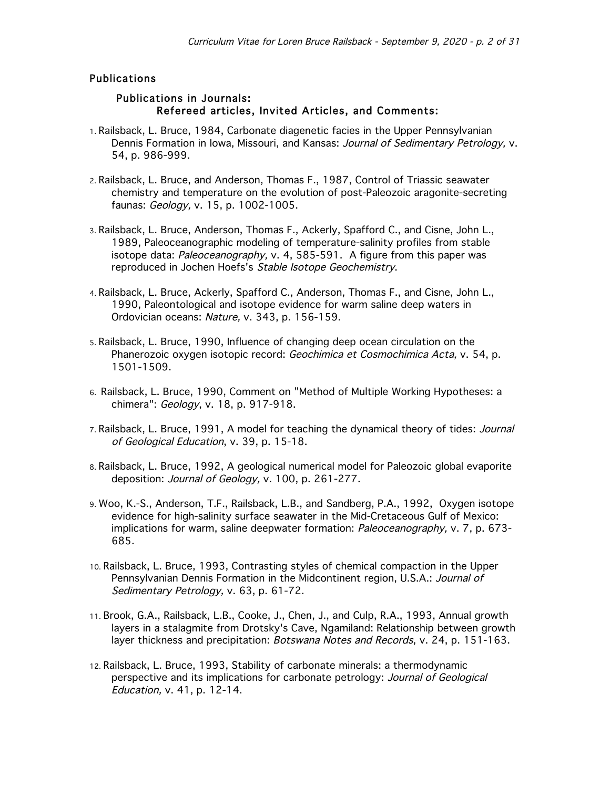# Publications

### Publications in Journals: Refereed articles, Invited Articles, and Comments:

- 1. Railsback, L. Bruce, 1984, Carbonate diagenetic facies in the Upper Pennsylvanian Dennis Formation in Iowa, Missouri, and Kansas: Journal of Sedimentary Petrology, v. 54, p. 986-999.
- 2. Railsback, L. Bruce, and Anderson, Thomas F., 1987, Control of Triassic seawater chemistry and temperature on the evolution of post-Paleozoic aragonite-secreting faunas: Geology, v. 15, p. 1002-1005.
- 3. Railsback, L. Bruce, Anderson, Thomas F., Ackerly, Spafford C., and Cisne, John L., 1989, Paleoceanographic modeling of temperature-salinity profiles from stable isotope data: Paleoceanography, v. 4, 585-591. A figure from this paper was reproduced in Jochen Hoefs's Stable Isotope Geochemistry.
- 4. Railsback, L. Bruce, Ackerly, Spafford C., Anderson, Thomas F., and Cisne, John L., 1990, Paleontological and isotope evidence for warm saline deep waters in Ordovician oceans: Nature, v. 343, p. 156-159.
- 5. Railsback, L. Bruce, 1990, Influence of changing deep ocean circulation on the Phanerozoic oxygen isotopic record: Geochimica et Cosmochimica Acta, v. 54, p. 1501-1509.
- 6. Railsback, L. Bruce, 1990, Comment on "Method of Multiple Working Hypotheses: a chimera": Geology, v. 18, p. 917-918.
- 7. Railsback, L. Bruce, 1991, A model for teaching the dynamical theory of tides: Journal of Geological Education, v. 39, p. 15-18.
- 8. Railsback, L. Bruce, 1992, A geological numerical model for Paleozoic global evaporite deposition: Journal of Geology, v. 100, p. 261-277.
- 9. Woo, K.-S., Anderson, T.F., Railsback, L.B., and Sandberg, P.A., 1992, Oxygen isotope evidence for high-salinity surface seawater in the Mid-Cretaceous Gulf of Mexico: implications for warm, saline deepwater formation: Paleoceanography, v. 7, p. 673-685.
- 10. Railsback, L. Bruce, 1993, Contrasting styles of chemical compaction in the Upper Pennsylvanian Dennis Formation in the Midcontinent region, U.S.A.: Journal of Sedimentary Petrology, v. 63, p. 61-72.
- 11. Brook, G.A., Railsback, L.B., Cooke, J., Chen, J., and Culp, R.A., 1993, Annual growth layers in a stalagmite from Drotsky's Cave, Ngamiland: Relationship between growth layer thickness and precipitation: Botswana Notes and Records, v. 24, p. 151-163.
- 12. Railsback, L. Bruce, 1993, Stability of carbonate minerals: a thermodynamic perspective and its implications for carbonate petrology: Journal of Geological Education, v. 41, p. 12-14.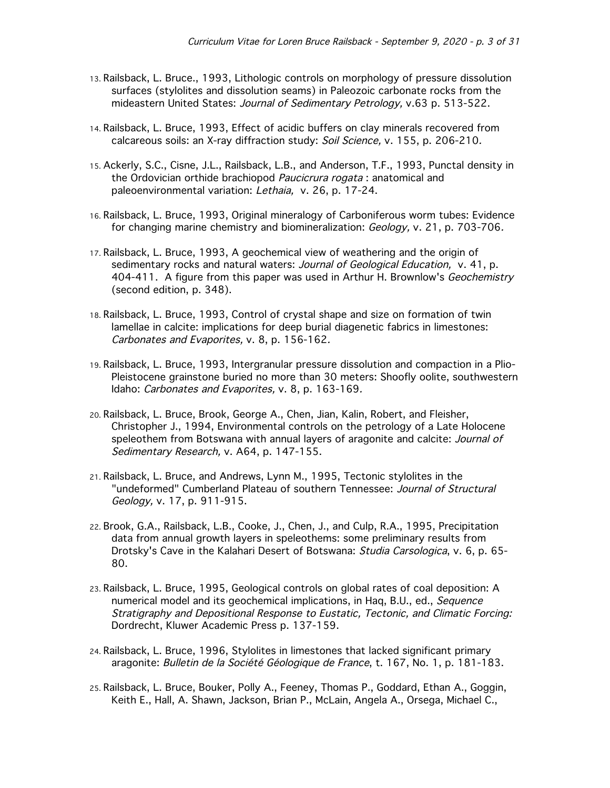- 13. Railsback, L. Bruce., 1993, Lithologic controls on morphology of pressure dissolution surfaces (stylolites and dissolution seams) in Paleozoic carbonate rocks from the mideastern United States: Journal of Sedimentary Petrology, v.63 p. 513-522.
- 14. Railsback, L. Bruce, 1993, Effect of acidic buffers on clay minerals recovered from calcareous soils: an X-ray diffraction study: Soil Science, v. 155, p. 206-210.
- 15. Ackerly, S.C., Cisne, J.L., Railsback, L.B., and Anderson, T.F., 1993, Punctal density in the Ordovician orthide brachiopod Paucicrura rogata: anatomical and paleoenvironmental variation: Lethaia, v. 26, p. 17-24.
- 16. Railsback, L. Bruce, 1993, Original mineralogy of Carboniferous worm tubes: Evidence for changing marine chemistry and biomineralization: Geology, v. 21, p. 703-706.
- 17. Railsback, L. Bruce, 1993, A geochemical view of weathering and the origin of sedimentary rocks and natural waters: Journal of Geological Education, v. 41, p. 404-411. A figure from this paper was used in Arthur H. Brownlow's *Geochemistry* (second edition, p. 348).
- 18. Railsback, L. Bruce, 1993, Control of crystal shape and size on formation of twin lamellae in calcite: implications for deep burial diagenetic fabrics in limestones: Carbonates and Evaporites, v. 8, p. 156-162.
- 19. Railsback, L. Bruce, 1993, Intergranular pressure dissolution and compaction in a Plio-Pleistocene grainstone buried no more than 30 meters: Shoofly oolite, southwestern Idaho: Carbonates and Evaporites, v. 8, p. 163-169.
- 20. Railsback, L. Bruce, Brook, George A., Chen, Jian, Kalin, Robert, and Fleisher, Christopher J., 1994, Environmental controls on the petrology of a Late Holocene speleothem from Botswana with annual layers of aragonite and calcite: Journal of Sedimentary Research, v. A64, p. 147-155.
- 21. Railsback, L. Bruce, and Andrews, Lynn M., 1995, Tectonic stylolites in the "undeformed" Cumberland Plateau of southern Tennessee: Journal of Structural Geology, v. 17, p. 911-915.
- 22. Brook, G.A., Railsback, L.B., Cooke, J., Chen, J., and Culp, R.A., 1995, Precipitation data from annual growth layers in speleothems: some preliminary results from Drotsky's Cave in the Kalahari Desert of Botswana: Studia Carsologica, v. 6, p. 65- 80.
- 23. Railsback, L. Bruce, 1995, Geological controls on global rates of coal deposition: A numerical model and its geochemical implications, in Haq, B.U., ed., Sequence Stratigraphy and Depositional Response to Eustatic, Tectonic, and Climatic Forcing: Dordrecht, Kluwer Academic Press p. 137-159.
- 24. Railsback, L. Bruce, 1996, Stylolites in limestones that lacked significant primary aragonite: Bulletin de la Société Géologique de France, t. 167, No. 1, p. 181-183.
- 25. Railsback, L. Bruce, Bouker, Polly A., Feeney, Thomas P., Goddard, Ethan A., Goggin, Keith E., Hall, A. Shawn, Jackson, Brian P., McLain, Angela A., Orsega, Michael C.,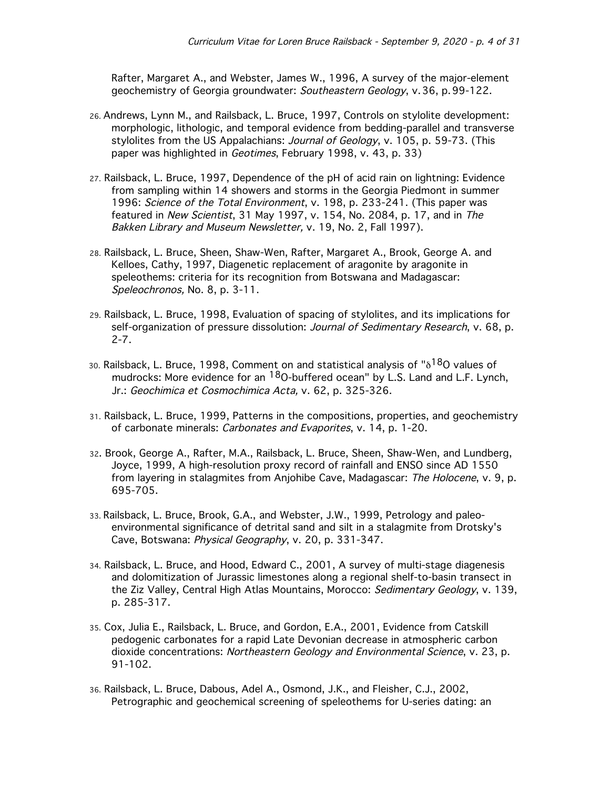Rafter, Margaret A., and Webster, James W., 1996, A survey of the major-element geochemistry of Georgia groundwater: Southeastern Geology, v.36, p.99-122.

- 26. Andrews, Lynn M., and Railsback, L. Bruce, 1997, Controls on stylolite development: morphologic, lithologic, and temporal evidence from bedding-parallel and transverse stylolites from the US Appalachians: Journal of Geology, v. 105, p. 59-73. (This paper was highlighted in Geotimes, February 1998, v. 43, p. 33)
- 27. Railsback, L. Bruce, 1997, Dependence of the pH of acid rain on lightning: Evidence from sampling within 14 showers and storms in the Georgia Piedmont in summer 1996: Science of the Total Environment, v. 198, p. 233-241. (This paper was featured in New Scientist, 31 May 1997, v. 154, No. 2084, p. 17, and in The Bakken Library and Museum Newsletter, v. 19, No. 2, Fall 1997).
- 28. Railsback, L. Bruce, Sheen, Shaw-Wen, Rafter, Margaret A., Brook, George A. and Kelloes, Cathy, 1997, Diagenetic replacement of aragonite by aragonite in speleothems: criteria for its recognition from Botswana and Madagascar: Speleochronos, No. 8, p. 3-11.
- 29. Railsback, L. Bruce, 1998, Evaluation of spacing of stylolites, and its implications for self-organization of pressure dissolution: Journal of Sedimentary Research, v. 68, p. 2-7.
- 30. Railsback, L. Bruce, 1998, Comment on and statistical analysis of " $\delta^{18}$ O values of mudrocks: More evidence for an  $18$ O-buffered ocean" by L.S. Land and L.F. Lynch, Jr.: Geochimica et Cosmochimica Acta, v. 62, p. 325-326.
- 31. Railsback, L. Bruce, 1999, Patterns in the compositions, properties, and geochemistry of carbonate minerals: Carbonates and Evaporites, v. 14, p. 1-20.
- 32. Brook, George A., Rafter, M.A., Railsback, L. Bruce, Sheen, Shaw-Wen, and Lundberg, Joyce, 1999, A high-resolution proxy record of rainfall and ENSO since AD 1550 from layering in stalagmites from Anjohibe Cave, Madagascar: The Holocene, v. 9, p. 695-705.
- 33. Railsback, L. Bruce, Brook, G.A., and Webster, J.W., 1999, Petrology and paleoenvironmental significance of detrital sand and silt in a stalagmite from Drotsky's Cave, Botswana: Physical Geography, v. 20, p. 331-347.
- 34. Railsback, L. Bruce, and Hood, Edward C., 2001, A survey of multi-stage diagenesis and dolomitization of Jurassic limestones along a regional shelf-to-basin transect in the Ziz Valley, Central High Atlas Mountains, Morocco: Sedimentary Geology, v. 139, p. 285-317.
- 35. Cox, Julia E., Railsback, L. Bruce, and Gordon, E.A., 2001, Evidence from Catskill pedogenic carbonates for a rapid Late Devonian decrease in atmospheric carbon dioxide concentrations: Northeastern Geology and Environmental Science, v. 23, p. 91-102.
- 36. Railsback, L. Bruce, Dabous, Adel A., Osmond, J.K., and Fleisher, C.J., 2002, Petrographic and geochemical screening of speleothems for U-series dating: an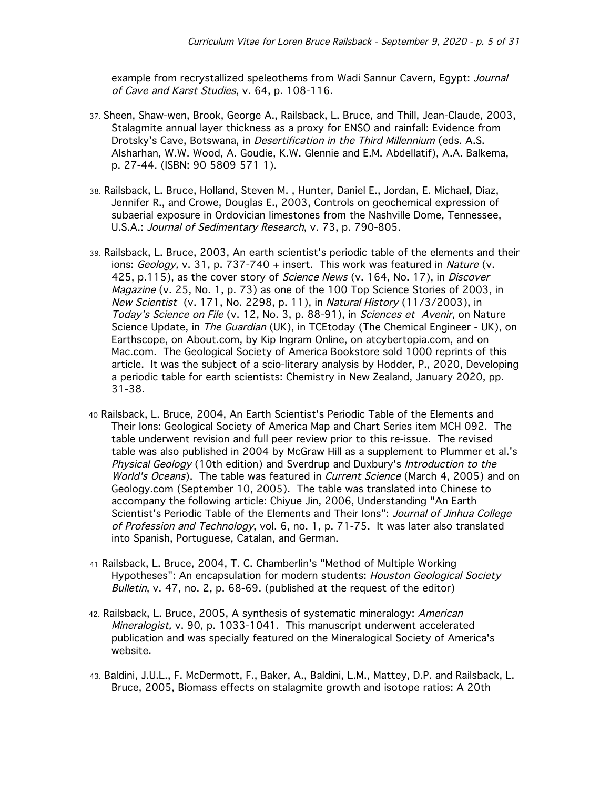example from recrystallized speleothems from Wadi Sannur Cavern, Egypt: Journal of Cave and Karst Studies, v. 64, p. 108-116.

- 37. Sheen, Shaw-wen, Brook, George A., Railsback, L. Bruce, and Thill, Jean-Claude, 2003, Stalagmite annual layer thickness as a proxy for ENSO and rainfall: Evidence from Drotsky's Cave, Botswana, in Desertification in the Third Millennium (eds. A.S. Alsharhan, W.W. Wood, A. Goudie, K.W. Glennie and E.M. Abdellatif), A.A. Balkema, p. 27-44. (ISBN: 90 5809 571 1).
- 38. Railsback, L. Bruce, Holland, Steven M. , Hunter, Daniel E., Jordan, E. Michael, Díaz, Jennifer R., and Crowe, Douglas E., 2003, Controls on geochemical expression of subaerial exposure in Ordovician limestones from the Nashville Dome, Tennessee, U.S.A.: Journal of Sedimentary Research, v. 73, p. 790-805.
- 39. Railsback, L. Bruce, 2003, An earth scientist's periodic table of the elements and their ions:  $Geology$ , v. 31, p. 737-740 + insert. This work was featured in Nature (v. 425, p.115), as the cover story of Science News (v. 164, No. 17), in Discover Magazine (v. 25, No. 1, p. 73) as one of the 100 Top Science Stories of 2003, in New Scientist (v. 171, No. 2298, p. 11), in Natural History (11/3/2003), in Today's Science on File (v. 12, No. 3, p. 88-91), in Sciences et Avenir, on Nature Science Update, in The Guardian (UK), in TCEtoday (The Chemical Engineer - UK), on Earthscope, on About.com, by Kip Ingram Online, on atcybertopia.com, and on Mac.com. The Geological Society of America Bookstore sold 1000 reprints of this article. It was the subject of a scio-literary analysis by Hodder, P., 2020, Developing a periodic table for earth scientists: Chemistry in New Zealand, January 2020, pp. 31-38.
- 40 Railsback, L. Bruce, 2004, An Earth Scientist's Periodic Table of the Elements and Their Ions: Geological Society of America Map and Chart Series item MCH 092. The table underwent revision and full peer review prior to this re-issue. The revised table was also published in 2004 by McGraw Hill as a supplement to Plummer et al.'s Physical Geology (10th edition) and Sverdrup and Duxbury's Introduction to the World's Oceans). The table was featured in Current Science (March 4, 2005) and on Geology.com (September 10, 2005). The table was translated into Chinese to accompany the following article: Chiyue Jin, 2006, Understanding "An Earth Scientist's Periodic Table of the Elements and Their Ions": Journal of Jinhua College of Profession and Technology, vol. 6, no. 1, p. 71-75. It was later also translated into Spanish, Portuguese, Catalan, and German.
- 41 Railsback, L. Bruce, 2004, T. C. Chamberlin's "Method of Multiple Working Hypotheses": An encapsulation for modern students: Houston Geological Society Bulletin, v. 47, no. 2, p. 68-69. (published at the request of the editor)
- 42. Railsback, L. Bruce, 2005, A synthesis of systematic mineralogy: American Mineralogist, v. 90, p. 1033-1041. This manuscript underwent accelerated publication and was specially featured on the Mineralogical Society of America's website.
- 43. Baldini, J.U.L., F. McDermott, F., Baker, A., Baldini, L.M., Mattey, D.P. and Railsback, L. Bruce, 2005, Biomass effects on stalagmite growth and isotope ratios: A 20th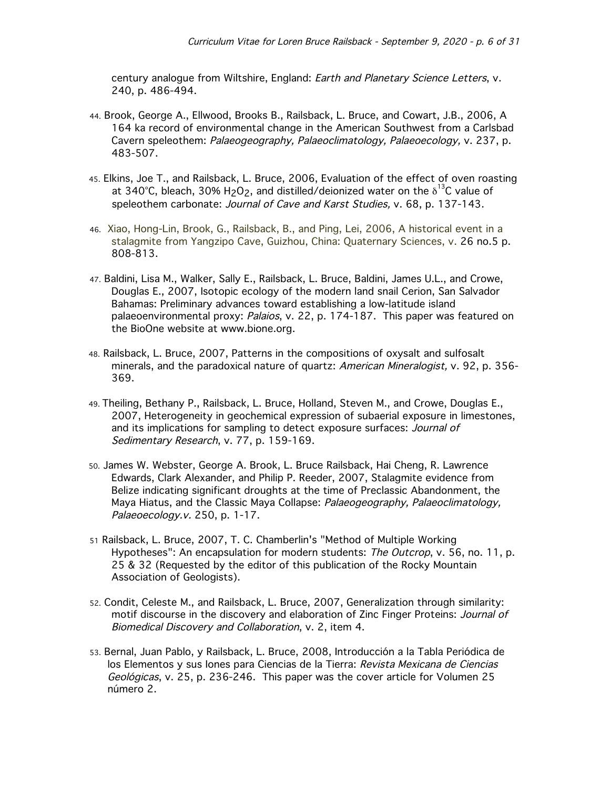century analogue from Wiltshire, England: Earth and Planetary Science Letters, v. 240, p. 486-494.

- 44. Brook, George A., Ellwood, Brooks B., Railsback, L. Bruce, and Cowart, J.B., 2006, A 164 ka record of environmental change in the American Southwest from a Carlsbad Cavern speleothem: Palaeogeography, Palaeoclimatology, Palaeoecology, v. 237, p. 483-507.
- 45. Elkins, Joe T., and Railsback, L. Bruce, 2006, Evaluation of the effect of oven roasting at 340°C, bleach, 30% H<sub>2</sub>O<sub>2</sub>, and distilled/deionized water on the  $\delta^{^{13}C}$  value of speleothem carbonate: Journal of Cave and Karst Studies, v. 68, p. 137-143.
- 46. Xiao, Hong-Lin, Brook, G., Railsback, B., and Ping, Lei, 2006, A historical event in a stalagmite from Yangzipo Cave, Guizhou, China: Quaternary Sciences, v. 26 no.5 p. 808-813.
- 47. Baldini, Lisa M., Walker, Sally E., Railsback, L. Bruce, Baldini, James U.L., and Crowe, Douglas E., 2007, Isotopic ecology of the modern land snail Cerion, San Salvador Bahamas: Preliminary advances toward establishing a low-latitude island palaeoenvironmental proxy: Palaios, v. 22, p. 174-187. This paper was featured on the BioOne website at www.bione.org.
- 48. Railsback, L. Bruce, 2007, Patterns in the compositions of oxysalt and sulfosalt minerals, and the paradoxical nature of quartz: American Mineralogist, v. 92, p. 356-369.
- 49. Theiling, Bethany P., Railsback, L. Bruce, Holland, Steven M., and Crowe, Douglas E., 2007, Heterogeneity in geochemical expression of subaerial exposure in limestones, and its implications for sampling to detect exposure surfaces: Journal of Sedimentary Research, v. 77, p. 159-169.
- 50. James W. Webster, George A. Brook, L. Bruce Railsback, Hai Cheng, R. Lawrence Edwards, Clark Alexander, and Philip P. Reeder, 2007, Stalagmite evidence from Belize indicating significant droughts at the time of Preclassic Abandonment, the Maya Hiatus, and the Classic Maya Collapse: Palaeogeography, Palaeoclimatology, Palaeoecology.v. 250, p. 1-17.
- 51 Railsback, L. Bruce, 2007, T. C. Chamberlin's "Method of Multiple Working Hypotheses": An encapsulation for modern students: The Outcrop, v. 56, no. 11, p. 25 & 32 (Requested by the editor of this publication of the Rocky Mountain Association of Geologists).
- 52. Condit, Celeste M., and Railsback, L. Bruce, 2007, Generalization through similarity: motif discourse in the discovery and elaboration of Zinc Finger Proteins: Journal of Biomedical Discovery and Collaboration, v. 2, item 4.
- 53. Bernal, Juan Pablo, y Railsback, L. Bruce, 2008, Introducción a la Tabla Periódica de los Elementos y sus lones para Ciencias de la Tierra: Revista Mexicana de Ciencias Geológicas, v. 25, p. 236-246. This paper was the cover article for Volumen 25 número 2.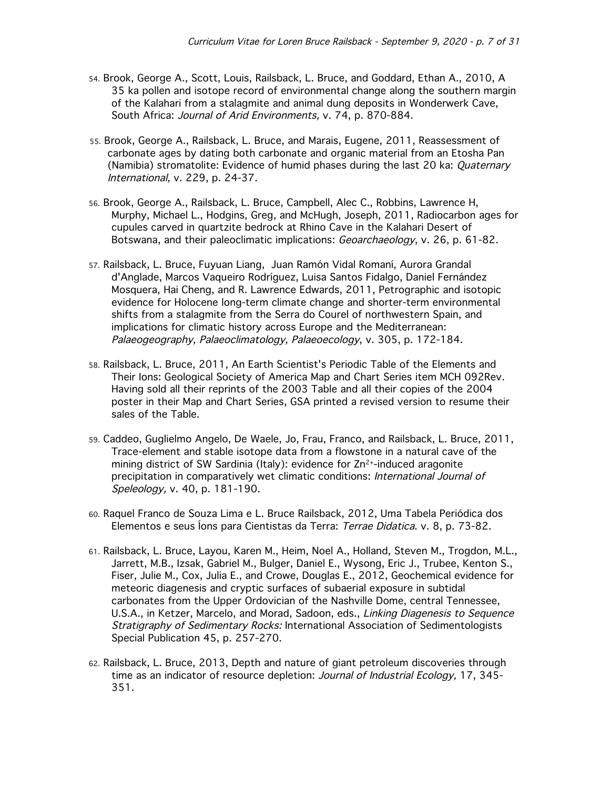- 54. Brook, George A., Scott, Louis, Railsback, L. Bruce, and Goddard, Ethan A., 2010, A 35 ka pollen and isotope record of environmental change along the southern margin of the Kalahari from a stalagmite and animal dung deposits in Wonderwerk Cave, South Africa: Journal of Arid Environments, v. 74, p. 870-884.
- 55. Brook, George A., Railsback, L. Bruce, and Marais, Eugene, 2011, Reassessment of carbonate ages by dating both carbonate and organic material from an Etosha Pan (Namibia) stromatolite: Evidence of humid phases during the last 20 ka: *Quaternary* International, v. 229, p. 24-37.
- 56. Brook, George A., Railsback, L. Bruce, Campbell, Alec C., Robbins, Lawrence H, Murphy, Michael L., Hodgins, Greg, and McHugh, Joseph, 2011, Radiocarbon ages for cupules carved in quartzite bedrock at Rhino Cave in the Kalahari Desert of Botswana, and their paleoclimatic implications: Geoarchaeology, v. 26, p. 61-82.
- 57. Railsback, L. Bruce, Fuyuan Liang, Juan Ramón Vidal Romaní, Aurora Grandal d'Anglade, Marcos Vaqueiro Rodríguez, Luisa Santos Fidalgo, Daniel Fernández Mosquera, Hai Cheng, and R. Lawrence Edwards, 2011, Petrographic and isotopic evidence for Holocene long-term climate change and shorter-term environmental shifts from a stalagmite from the Serra do Courel of northwestern Spain, and implications for climatic history across Europe and the Mediterranean: Palaeogeography, Palaeoclimatology, Palaeoecology, v. 305, p. 172-184.
- 58. Railsback, L. Bruce, 2011, An Earth Scientist's Periodic Table of the Elements and Their Ions: Geological Society of America Map and Chart Series item MCH 092Rev. Having sold all their reprints of the 2003 Table and all their copies of the 2004 poster in their Map and Chart Series, GSA printed a revised version to resume their sales of the Table.
- 59. Caddeo, Guglielmo Angelo, De Waele, Jo, Frau, Franco, and Railsback, L. Bruce, 2011, Trace-element and stable isotope data from a flowstone in a natural cave of the mining district of SW Sardinia (Italy): evidence for Zn<sup>2+</sup>-induced aragonite precipitation in comparatively wet climatic conditions: International Journal of Speleology, v. 40, p. 181-190.
- 60. Raquel Franco de Souza Lima e L. Bruce Railsback, 2012, Uma Tabela Periódica dos Elementos e seus Íons para Cientistas da Terra: Terrae Didatica. v. 8, p. 73-82.
- 61. Railsback, L. Bruce, Layou, Karen M., Heim, Noel A., Holland, Steven M., Trogdon, M.L., Jarrett, M.B., Izsak, Gabriel M., Bulger, Daniel E., Wysong, Eric J., Trubee, Kenton S., Fiser, Julie M., Cox, Julia E., and Crowe, Douglas E., 2012, Geochemical evidence for meteoric diagenesis and cryptic surfaces of subaerial exposure in subtidal carbonates from the Upper Ordovician of the Nashville Dome, central Tennessee, U.S.A., in Ketzer, Marcelo, and Morad, Sadoon, eds., Linking Diagenesis to Sequence Stratigraphy of Sedimentary Rocks: International Association of Sedimentologists Special Publication 45, p. 257-270.
- 62. Railsback, L. Bruce, 2013, Depth and nature of giant petroleum discoveries through time as an indicator of resource depletion: Journal of Industrial Ecology, 17, 345-351.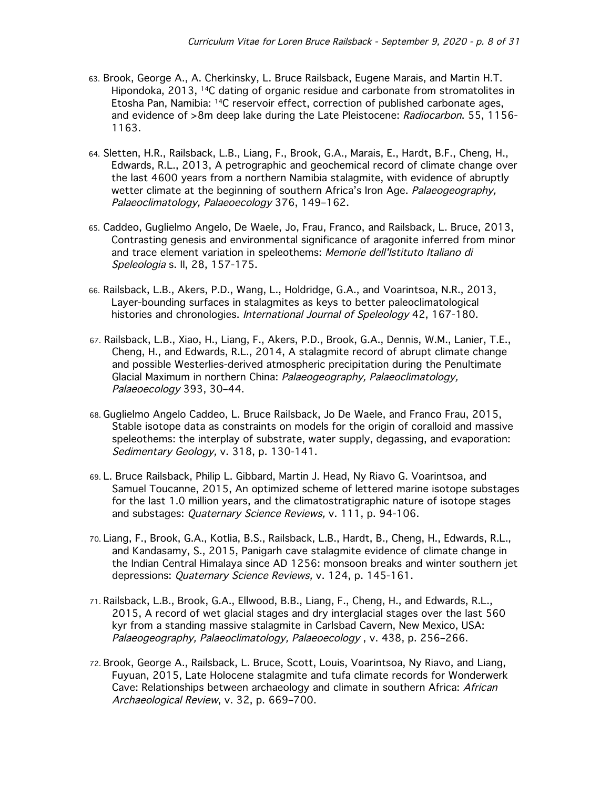- 63. Brook, George A., A. Cherkinsky, L. Bruce Railsback, Eugene Marais, and Martin H.T. Hipondoka, 2013, 14C dating of organic residue and carbonate from stromatolites in Etosha Pan, Namibia: 14C reservoir effect, correction of published carbonate ages, and evidence of >8m deep lake during the Late Pleistocene: Radiocarbon. 55, 1156-1163.
- 64. Sletten, H.R., Railsback, L.B., Liang, F., Brook, G.A., Marais, E., Hardt, B.F., Cheng, H., Edwards, R.L., 2013, A petrographic and geochemical record of climate change over the last 4600 years from a northern Namibia stalagmite, with evidence of abruptly wetter climate at the beginning of southern Africa's Iron Age. Palaeogeography, Palaeoclimatology, Palaeoecology 376, 149–162.
- 65. Caddeo, Guglielmo Angelo, De Waele, Jo, Frau, Franco, and Railsback, L. Bruce, 2013, Contrasting genesis and environmental significance of aragonite inferred from minor and trace element variation in speleothems: Memorie dell'Istituto Italiano di Speleologia s. II, 28, 157-175.
- 66. Railsback, L.B., Akers, P.D., Wang, L., Holdridge, G.A., and Voarintsoa, N.R., 2013, Layer-bounding surfaces in stalagmites as keys to better paleoclimatological histories and chronologies. International Journal of Speleology 42, 167-180.
- 67. Railsback, L.B., Xiao, H., Liang, F., Akers, P.D., Brook, G.A., Dennis, W.M., Lanier, T.E., Cheng, H., and Edwards, R.L., 2014, A stalagmite record of abrupt climate change and possible Westerlies-derived atmospheric precipitation during the Penultimate Glacial Maximum in northern China: Palaeogeography, Palaeoclimatology, Palaeoecology 393, 30–44.
- 68. Guglielmo Angelo Caddeo, L. Bruce Railsback, Jo De Waele, and Franco Frau, 2015, Stable isotope data as constraints on models for the origin of coralloid and massive speleothems: the interplay of substrate, water supply, degassing, and evaporation: Sedimentary Geology, v. 318, p. 130-141.
- 69. L. Bruce Railsback, Philip L. Gibbard, Martin J. Head, Ny Riavo G. Voarintsoa, and Samuel Toucanne, 2015, An optimized scheme of lettered marine isotope substages for the last 1.0 million years, and the climatostratigraphic nature of isotope stages and substages: Quaternary Science Reviews, v. 111, p. 94-106.
- 70. Liang, F., Brook, G.A., Kotlia, B.S., Railsback, L.B., Hardt, B., Cheng, H., Edwards, R.L., and Kandasamy, S., 2015, Panigarh cave stalagmite evidence of climate change in the Indian Central Himalaya since AD 1256: monsoon breaks and winter southern jet depressions: Quaternary Science Reviews, v. 124, p. 145-161.
- 71. Railsback, L.B., Brook, G.A., Ellwood, B.B., Liang, F., Cheng, H., and Edwards, R.L., 2015, A record of wet glacial stages and dry interglacial stages over the last 560 kyr from a standing massive stalagmite in Carlsbad Cavern, New Mexico, USA: Palaeogeography, Palaeoclimatology, Palaeoecology , v. 438, p. 256–266.
- 72. Brook, George A., Railsback, L. Bruce, Scott, Louis, Voarintsoa, Ny Riavo, and Liang, Fuyuan, 2015, Late Holocene stalagmite and tufa climate records for Wonderwerk Cave: Relationships between archaeology and climate in southern Africa: African Archaeological Review, v. 32, p. 669–700.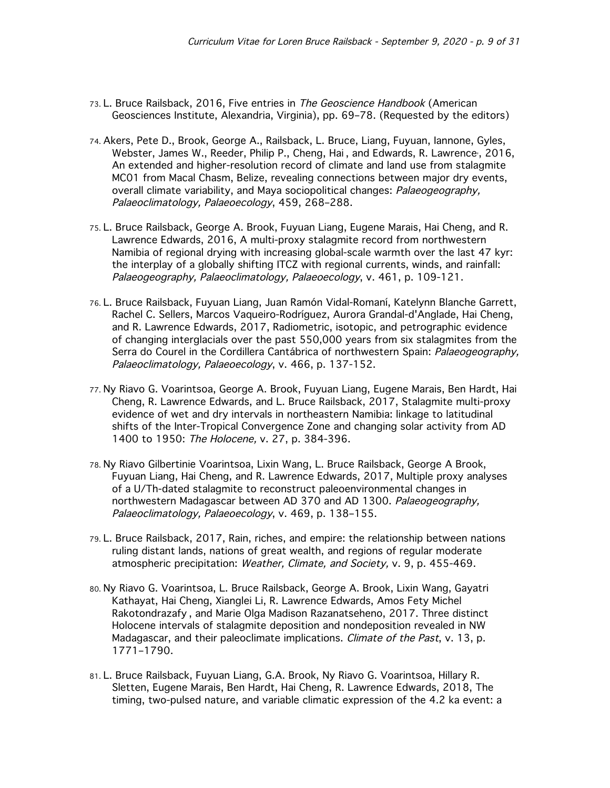- 73. L. Bruce Railsback, 2016, Five entries in The Geoscience Handbook (American Geosciences Institute, Alexandria, Virginia), pp. 69–78. (Requested by the editors)
- 74. Akers, Pete D., Brook, George A., Railsback, L. Bruce, Liang, Fuyuan, Iannone, Gyles, Webster, James W., Reeder, Philip P., Cheng, Hai , and Edwards, R. Lawrence, , 2016, An extended and higher-resolution record of climate and land use from stalagmite MC01 from Macal Chasm, Belize, revealing connections between major dry events, overall climate variability, and Maya sociopolitical changes: Palaeogeography, Palaeoclimatology, Palaeoecology, 459, 268–288.
- 75. L. Bruce Railsback, George A. Brook, Fuyuan Liang, Eugene Marais, Hai Cheng, and R. Lawrence Edwards, 2016, A multi-proxy stalagmite record from northwestern Namibia of regional drying with increasing global-scale warmth over the last 47 kyr: the interplay of a globally shifting ITCZ with regional currents, winds, and rainfall: Palaeogeography, Palaeoclimatology, Palaeoecology, v. 461, p. 109-121.
- 76. L. Bruce Railsback, Fuyuan Liang, Juan Ramón Vidal-Romaní, Katelynn Blanche Garrett, Rachel C. Sellers, Marcos Vaqueiro-Rodríguez, Aurora Grandal-d'Anglade, Hai Cheng, and R. Lawrence Edwards, 2017, Radiometric, isotopic, and petrographic evidence of changing interglacials over the past 550,000 years from six stalagmites from the Serra do Courel in the Cordillera Cantábrica of northwestern Spain: Palaeogeography, Palaeoclimatology, Palaeoecology, v. 466, p. 137-152.
- 77. Ny Riavo G. Voarintsoa, George A. Brook, Fuyuan Liang, Eugene Marais, Ben Hardt, Hai Cheng, R. Lawrence Edwards, and L. Bruce Railsback, 2017, Stalagmite multi-proxy evidence of wet and dry intervals in northeastern Namibia: linkage to latitudinal shifts of the Inter-Tropical Convergence Zone and changing solar activity from AD 1400 to 1950: The Holocene, v. 27, p. 384-396.
- 78. Ny Riavo Gilbertinie Voarintsoa, Lixin Wang, L. Bruce Railsback, George A Brook, Fuyuan Liang, Hai Cheng, and R. Lawrence Edwards, 2017, Multiple proxy analyses of a U/Th-dated stalagmite to reconstruct paleoenvironmental changes in northwestern Madagascar between AD 370 and AD 1300. Palaeogeography, Palaeoclimatology, Palaeoecology, v. 469, p. 138–155.
- 79. L. Bruce Railsback, 2017, Rain, riches, and empire: the relationship between nations ruling distant lands, nations of great wealth, and regions of regular moderate atmospheric precipitation: Weather, Climate, and Society, v. 9, p. 455-469.
- 80. Ny Riavo G. Voarintsoa, L. Bruce Railsback, George A. Brook, Lixin Wang, Gayatri Kathayat, Hai Cheng, Xianglei Li, R. Lawrence Edwards, Amos Fety Michel Rakotondrazafy , and Marie Olga Madison Razanatseheno, 2017. Three distinct Holocene intervals of stalagmite deposition and nondeposition revealed in NW Madagascar, and their paleoclimate implications. *Climate of the Past*, v. 13, p. 1771–1790.
- 81. L. Bruce Railsback, Fuyuan Liang, G.A. Brook, Ny Riavo G. Voarintsoa, Hillary R. Sletten, Eugene Marais, Ben Hardt, Hai Cheng, R. Lawrence Edwards, 2018, The timing, two-pulsed nature, and variable climatic expression of the 4.2 ka event: a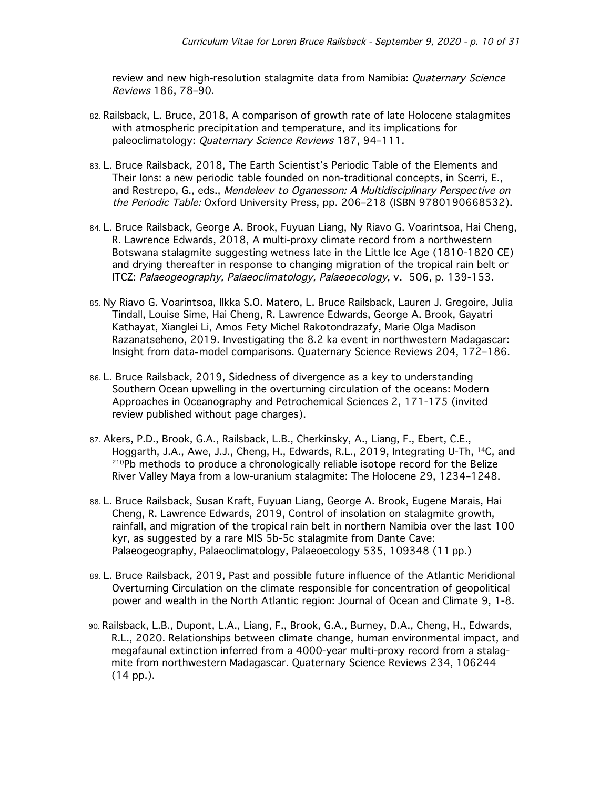review and new high-resolution stalagmite data from Namibia: Quaternary Science Reviews 186, 78–90.

- 82. Railsback, L. Bruce, 2018, A comparison of growth rate of late Holocene stalagmites with atmospheric precipitation and temperature, and its implications for paleoclimatology: Quaternary Science Reviews 187, 94–111.
- 83. L. Bruce Railsback, 2018, The Earth Scientist's Periodic Table of the Elements and Their Ions: a new periodic table founded on non-traditional concepts, in Scerri, E., and Restrepo, G., eds., Mendeleev to Oganesson: A Multidisciplinary Perspective on the Periodic Table: Oxford University Press, pp. 206–218 (ISBN 9780190668532).
- 84. L. Bruce Railsback, George A. Brook, Fuyuan Liang, Ny Riavo G. Voarintsoa, Hai Cheng, R. Lawrence Edwards, 2018, A multi-proxy climate record from a northwestern Botswana stalagmite suggesting wetness late in the Little Ice Age (1810-1820 CE) and drying thereafter in response to changing migration of the tropical rain belt or ITCZ: Palaeogeography, Palaeoclimatology, Palaeoecology, v. 506, p. 139-153.
- 85. Ny Riavo G. Voarintsoa, Ilkka S.O. Matero, L. Bruce Railsback, Lauren J. Gregoire, Julia Tindall, Louise Sime, Hai Cheng, R. Lawrence Edwards, George A. Brook, Gayatri Kathayat, Xianglei Li, Amos Fety Michel Rakotondrazafy, Marie Olga Madison Razanatseheno, 2019. Investigating the 8.2 ka event in northwestern Madagascar: Insight from data-model comparisons. Quaternary Science Reviews 204, 172–186.
- 86. L. Bruce Railsback, 2019, Sidedness of divergence as a key to understanding Southern Ocean upwelling in the overturning circulation of the oceans: Modern Approaches in Oceanography and Petrochemical Sciences 2, 171-175 (invited review published without page charges).
- 87. Akers, P.D., Brook, G.A., Railsback, L.B., Cherkinsky, A., Liang, F., Ebert, C.E., Hoggarth, J.A., Awe, J.J., Cheng, H., Edwards, R.L., 2019, Integrating U-Th, 14C, and 210Pb methods to produce a chronologically reliable isotope record for the Belize River Valley Maya from a low-uranium stalagmite: The Holocene 29, 1234–1248.
- 88. L. Bruce Railsback, Susan Kraft, Fuyuan Liang, George A. Brook, Eugene Marais, Hai Cheng, R. Lawrence Edwards, 2019, Control of insolation on stalagmite growth, rainfall, and migration of the tropical rain belt in northern Namibia over the last 100 kyr, as suggested by a rare MIS 5b-5c stalagmite from Dante Cave: Palaeogeography, Palaeoclimatology, Palaeoecology 535, 109348 (11 pp.)
- 89. L. Bruce Railsback, 2019, Past and possible future influence of the Atlantic Meridional Overturning Circulation on the climate responsible for concentration of geopolitical power and wealth in the North Atlantic region: Journal of Ocean and Climate 9, 1-8.
- 90. Railsback, L.B., Dupont, L.A., Liang, F., Brook, G.A., Burney, D.A., Cheng, H., Edwards, R.L., 2020. Relationships between climate change, human environmental impact, and megafaunal extinction inferred from a 4000-year multi-proxy record from a stalagmite from northwestern Madagascar. Quaternary Science Reviews 234, 106244 (14 pp.).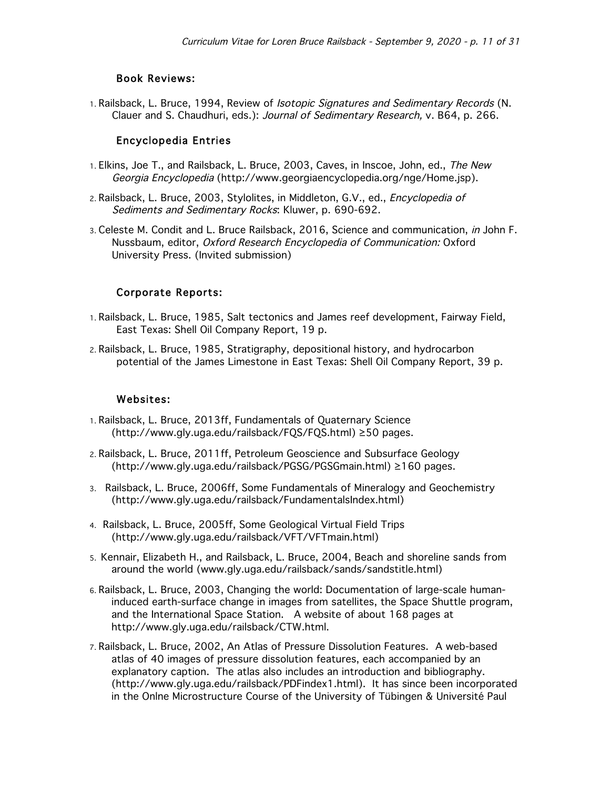### Book Reviews:

1. Railsback, L. Bruce, 1994, Review of Isotopic Signatures and Sedimentary Records (N. Clauer and S. Chaudhuri, eds.): Journal of Sedimentary Research, v. B64, p. 266.

### Encyclopedia Entries

- 1. Elkins, Joe T., and Railsback, L. Bruce, 2003, Caves, in Inscoe, John, ed., The New Georgia Encyclopedia (http://www.georgiaencyclopedia.org/nge/Home.jsp).
- 2. Railsback, L. Bruce, 2003, Stylolites, in Middleton, G.V., ed., *Encyclopedia of* Sediments and Sedimentary Rocks: Kluwer, p. 690-692.
- 3. Celeste M. Condit and L. Bruce Railsback, 2016, Science and communication, in John F. Nussbaum, editor, Oxford Research Encyclopedia of Communication: Oxford University Press. (Invited submission)

### Corporate Reports:

- 1. Railsback, L. Bruce, 1985, Salt tectonics and James reef development, Fairway Field, East Texas: Shell Oil Company Report, 19 p.
- 2. Railsback, L. Bruce, 1985, Stratigraphy, depositional history, and hydrocarbon potential of the James Limestone in East Texas: Shell Oil Company Report, 39 p.

### Websites:

- 1. Railsback, L. Bruce, 2013ff, Fundamentals of Quaternary Science (http://www.gly.uga.edu/railsback/FQS/FQS.html) ≥50 pages.
- 2. Railsback, L. Bruce, 2011ff, Petroleum Geoscience and Subsurface Geology (http://www.gly.uga.edu/railsback/PGSG/PGSGmain.html) ≥160 pages.
- 3. Railsback, L. Bruce, 2006ff, Some Fundamentals of Mineralogy and Geochemistry (http://www.gly.uga.edu/railsback/FundamentalsIndex.html)
- 4. Railsback, L. Bruce, 2005ff, Some Geological Virtual Field Trips (http://www.gly.uga.edu/railsback/VFT/VFTmain.html)
- 5. Kennair, Elizabeth H., and Railsback, L. Bruce, 2004, Beach and shoreline sands from around the world (www.gly.uga.edu/railsback/sands/sandstitle.html)
- 6. Railsback, L. Bruce, 2003, Changing the world: Documentation of large-scale humaninduced earth-surface change in images from satellites, the Space Shuttle program, and the International Space Station. A website of about 168 pages at http://www.gly.uga.edu/railsback/CTW.html.
- 7. Railsback, L. Bruce, 2002, An Atlas of Pressure Dissolution Features. A web-based atlas of 40 images of pressure dissolution features, each accompanied by an explanatory caption. The atlas also includes an introduction and bibliography. (http://www.gly.uga.edu/railsback/PDFindex1.html). It has since been incorporated in the Onlne Microstructure Course of the University of Tübingen & Université Paul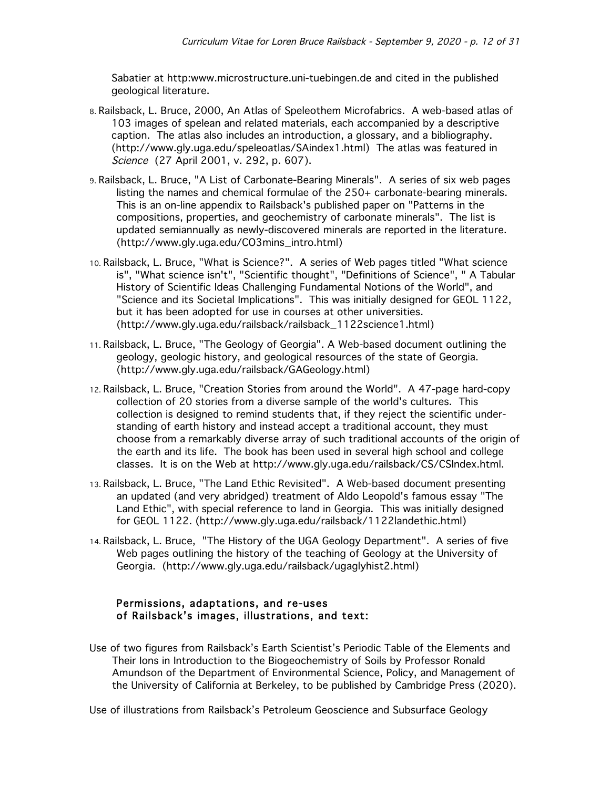Sabatier at http:www.microstructure.uni-tuebingen.de and cited in the published geological literature.

- 8. Railsback, L. Bruce, 2000, An Atlas of Speleothem Microfabrics. A web-based atlas of 103 images of spelean and related materials, each accompanied by a descriptive caption. The atlas also includes an introduction, a glossary, and a bibliography. (http://www.gly.uga.edu/speleoatlas/SAindex1.html) The atlas was featured in Science (27 April 2001, v. 292, p. 607).
- 9. Railsback, L. Bruce, "A List of Carbonate-Bearing Minerals". A series of six web pages listing the names and chemical formulae of the 250+ carbonate-bearing minerals. This is an on-line appendix to Railsback's published paper on "Patterns in the compositions, properties, and geochemistry of carbonate minerals". The list is updated semiannually as newly-discovered minerals are reported in the literature. (http://www.gly.uga.edu/CO3mins\_intro.html)
- 10. Railsback, L. Bruce, "What is Science?". A series of Web pages titled "What science is", "What science isn't", "Scientific thought", "Definitions of Science", " A Tabular History of Scientific Ideas Challenging Fundamental Notions of the World", and "Science and its Societal Implications". This was initially designed for GEOL 1122, but it has been adopted for use in courses at other universities. (http://www.gly.uga.edu/railsback/railsback\_1122science1.html)
- 11. Railsback, L. Bruce, "The Geology of Georgia". A Web-based document outlining the geology, geologic history, and geological resources of the state of Georgia. (http://www.gly.uga.edu/railsback/GAGeology.html)
- 12. Railsback, L. Bruce, "Creation Stories from around the World". A 47-page hard-copy collection of 20 stories from a diverse sample of the world's cultures. This collection is designed to remind students that, if they reject the scientific understanding of earth history and instead accept a traditional account, they must choose from a remarkably diverse array of such traditional accounts of the origin of the earth and its life. The book has been used in several high school and college classes. It is on the Web at http://www.gly.uga.edu/railsback/CS/CSIndex.html.
- 13. Railsback, L. Bruce, "The Land Ethic Revisited". A Web-based document presenting an updated (and very abridged) treatment of Aldo Leopold's famous essay "The Land Ethic", with special reference to land in Georgia. This was initially designed for GEOL 1122. (http://www.gly.uga.edu/railsback/1122landethic.html)
- 14. Railsback, L. Bruce, "The History of the UGA Geology Department". A series of five Web pages outlining the history of the teaching of Geology at the University of Georgia. (http://www.gly.uga.edu/railsback/ugaglyhist2.html)

### Permissions, adaptations, and re-uses of Railsback's images, illustrations, and text:

Use of two figures from Railsback's Earth Scientist's Periodic Table of the Elements and Their Ions in Introduction to the Biogeochemistry of Soils by Professor Ronald Amundson of the Department of Environmental Science, Policy, and Management of the University of California at Berkeley, to be published by Cambridge Press (2020).

Use of illustrations from Railsback's Petroleum Geoscience and Subsurface Geology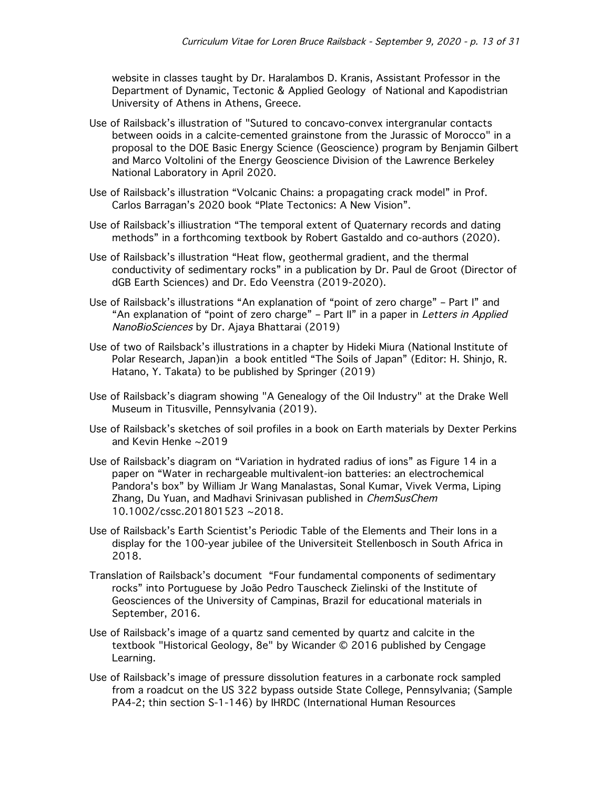website in classes taught by Dr. Haralambos D. Kranis, Assistant Professor in the Department of Dynamic, Tectonic & Applied Geology of National and Kapodistrian University of Athens in Athens, Greece.

- Use of Railsback's illustration of "Sutured to concavo-convex intergranular contacts between ooids in a calcite-cemented grainstone from the Jurassic of Morocco" in a proposal to the DOE Basic Energy Science (Geoscience) program by Benjamin Gilbert and Marco Voltolini of the Energy Geoscience Division of the Lawrence Berkeley National Laboratory in April 2020.
- Use of Railsback's illustration "Volcanic Chains: a propagating crack model" in Prof. Carlos Barragan's 2020 book "Plate Tectonics: A New Vision".
- Use of Railsback's illiustration "The temporal extent of Quaternary records and dating methods" in a forthcoming textbook by Robert Gastaldo and co-authors (2020).
- Use of Railsback's illustration "Heat flow, geothermal gradient, and the thermal conductivity of sedimentary rocks" in a publication by Dr. Paul de Groot (Director of dGB Earth Sciences) and Dr. Edo Veenstra (2019-2020).
- Use of Railsback's illustrations "An explanation of "point of zero charge" Part I" and "An explanation of "point of zero charge" - Part II" in a paper in Letters in Applied NanoBioSciences by Dr. Ajaya Bhattarai (2019)
- Use of two of Railsback's illustrations in a chapter by Hideki Miura (National Institute of Polar Research, Japan)in a book entitled "The Soils of Japan" (Editor: H. Shinjo, R. Hatano, Y. Takata) to be published by Springer (2019)
- Use of Railsback's diagram showing "A Genealogy of the Oil Industry" at the Drake Well Museum in Titusville, Pennsylvania (2019).
- Use of Railsback's sketches of soil profiles in a book on Earth materials by Dexter Perkins and Kevin Henke ~2019
- Use of Railsback's diagram on "Variation in hydrated radius of ions" as Figure 14 in a paper on "Water in rechargeable multivalent-ion batteries: an electrochemical Pandora's box" by William Jr Wang Manalastas, Sonal Kumar, Vivek Verma, Liping Zhang, Du Yuan, and Madhavi Srinivasan published in ChemSusChem 10.1002/cssc.201801523 ~2018.
- Use of Railsback's Earth Scientist's Periodic Table of the Elements and Their Ions in a display for the 100-year jubilee of the Universiteit Stellenbosch in South Africa in 2018.
- Translation of Railsback's document "Four fundamental components of sedimentary rocks" into Portuguese by João Pedro Tauscheck Zielinski of the Institute of Geosciences of the University of Campinas, Brazil for educational materials in September, 2016.
- Use of Railsback's image of a quartz sand cemented by quartz and calcite in the textbook "Historical Geology, 8e" by Wicander © 2016 published by Cengage Learning.
- Use of Railsback's image of pressure dissolution features in a carbonate rock sampled from a roadcut on the US 322 bypass outside State College, Pennsylvania; (Sample PA4-2; thin section S-1-146) by IHRDC (International Human Resources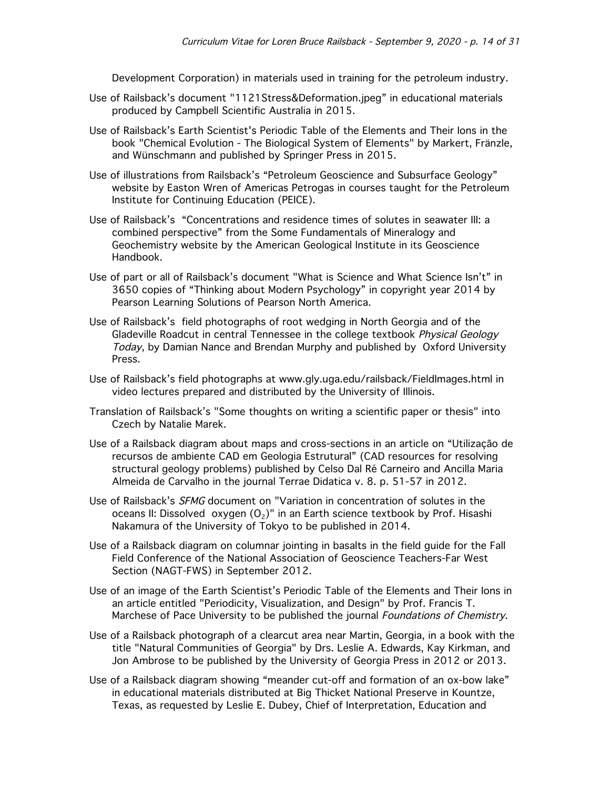Development Corporation) in materials used in training for the petroleum industry.

- Use of Railsback's document "1121Stress&Deformation.jpeg" in educational materials produced by Campbell Scientific Australia in 2015.
- Use of Railsback's Earth Scientist's Periodic Table of the Elements and Their Ions in the book "Chemical Evolution - The Biological System of Elements" by Markert, Fränzle, and Wünschmann and published by Springer Press in 2015.
- Use of illustrations from Railsback's "Petroleum Geoscience and Subsurface Geology" website by Easton Wren of Americas Petrogas in courses taught for the Petroleum Institute for Continuing Education (PEICE).
- Use of Railsback's "Concentrations and residence times of solutes in seawater III: a combined perspective" from the Some Fundamentals of Mineralogy and Geochemistry website by the American Geological Institute in its Geoscience Handbook.
- Use of part or all of Railsback's document "What is Science and What Science Isn't" in 3650 copies of "Thinking about Modern Psychology" in copyright year 2014 by Pearson Learning Solutions of Pearson North America.
- Use of Railsback's field photographs of root wedging in North Georgia and of the Gladeville Roadcut in central Tennessee in the college textbook *Physical Geology* Today, by Damian Nance and Brendan Murphy and published by Oxford University Press.
- Use of Railsback's field photographs at www.gly.uga.edu/railsback/FieldImages.html in video lectures prepared and distributed by the University of Illinois.
- Translation of Railsback's "Some thoughts on writing a scientific paper or thesis" into Czech by Natalie Marek.
- Use of a Railsback diagram about maps and cross-sections in an article on "Utilização de recursos de ambiente CAD em Geologia Estrutural" (CAD resources for resolving structural geology problems) published by Celso Dal Ré Carneiro and Ancilla Maria Almeida de Carvalho in the journal Terrae Didatica v. 8. p. 51-57 in 2012.
- Use of Railsback's SFMG document on "Variation in concentration of solutes in the oceans II: Dissolved oxygen  $(O_2)$ " in an Earth science textbook by Prof. Hisashi Nakamura of the University of Tokyo to be published in 2014.
- Use of a Railsback diagram on columnar jointing in basalts in the field guide for the Fall Field Conference of the National Association of Geoscience Teachers-Far West Section (NAGT-FWS) in September 2012.
- Use of an image of the Earth Scientist's Periodic Table of the Elements and Their Ions in an article entitled "Periodicity, Visualization, and Design" by Prof. Francis T. Marchese of Pace University to be published the journal Foundations of Chemistry.
- Use of a Railsback photograph of a clearcut area near Martin, Georgia, in a book with the title "Natural Communities of Georgia" by Drs. Leslie A. Edwards, Kay Kirkman, and Jon Ambrose to be published by the University of Georgia Press in 2012 or 2013.
- Use of a Railsback diagram showing "meander cut-off and formation of an ox-bow lake" in educational materials distributed at Big Thicket National Preserve in Kountze, Texas, as requested by Leslie E. Dubey, Chief of Interpretation, Education and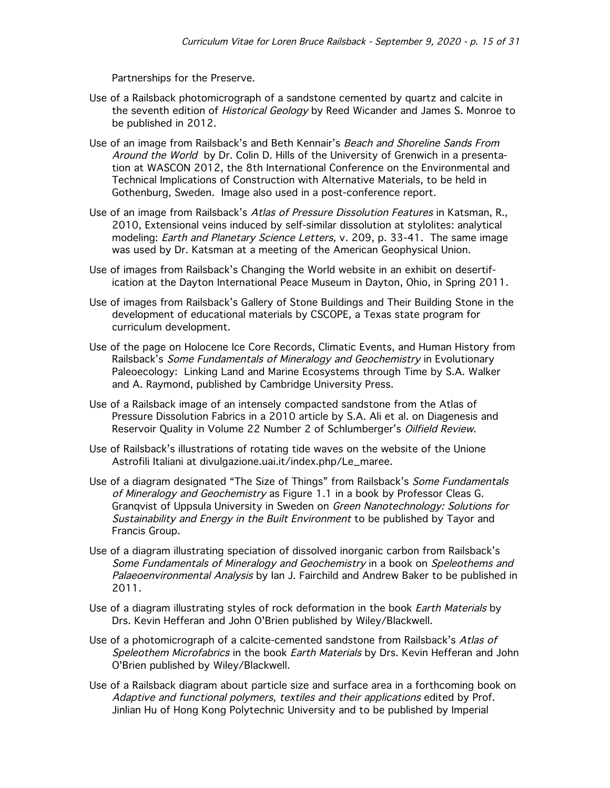Partnerships for the Preserve.

- Use of a Railsback photomicrograph of a sandstone cemented by quartz and calcite in the seventh edition of *Historical Geology* by Reed Wicander and James S. Monroe to be published in 2012.
- Use of an image from Railsback's and Beth Kennair's Beach and Shoreline Sands From Around the World by Dr. Colin D. Hills of the University of Grenwich in a presentation at WASCON 2012, the 8th International Conference on the Environmental and Technical Implications of Construction with Alternative Materials, to be held in Gothenburg, Sweden. Image also used in a post-conference report.
- Use of an image from Railsback's Atlas of Pressure Dissolution Features in Katsman, R., 2010, Extensional veins induced by self-similar dissolution at stylolites: analytical modeling: Earth and Planetary Science Letters, v. 209, p. 33-41. The same image was used by Dr. Katsman at a meeting of the American Geophysical Union.
- Use of images from Railsback's Changing the World website in an exhibit on desertification at the Dayton International Peace Museum in Dayton, Ohio, in Spring 2011.
- Use of images from Railsback's Gallery of Stone Buildings and Their Building Stone in the development of educational materials by CSCOPE, a Texas state program for curriculum development.
- Use of the page on Holocene Ice Core Records, Climatic Events, and Human History from Railsback's Some Fundamentals of Mineralogy and Geochemistry in Evolutionary Paleoecology: Linking Land and Marine Ecosystems through Time by S.A. Walker and A. Raymond, published by Cambridge University Press.
- Use of a Railsback image of an intensely compacted sandstone from the Atlas of Pressure Dissolution Fabrics in a 2010 article by S.A. Ali et al. on Diagenesis and Reservoir Quality in Volume 22 Number 2 of Schlumberger's Oilfield Review.
- Use of Railsback's illustrations of rotating tide waves on the website of the Unione Astrofili Italiani at divulgazione.uai.it/index.php/Le\_maree.
- Use of a diagram designated "The Size of Things" from Railsback's Some Fundamentals of Mineralogy and Geochemistry as Figure 1.1 in a book by Professor Cleas G. Granqvist of Uppsula University in Sweden on Green Nanotechnology: Solutions for Sustainability and Energy in the Built Environment to be published by Tayor and Francis Group.
- Use of a diagram illustrating speciation of dissolved inorganic carbon from Railsback's Some Fundamentals of Mineralogy and Geochemistry in a book on Speleothems and Palaeoenvironmental Analysis by Ian J. Fairchild and Andrew Baker to be published in 2011.
- Use of a diagram illustrating styles of rock deformation in the book *Earth Materials* by Drs. Kevin Hefferan and John O'Brien published by Wiley/Blackwell.
- Use of a photomicrograph of a calcite-cemented sandstone from Railsback's Atlas of Speleothem Microfabrics in the book Earth Materials by Drs. Kevin Hefferan and John O'Brien published by Wiley/Blackwell.
- Use of a Railsback diagram about particle size and surface area in a forthcoming book on Adaptive and functional polymers, textiles and their applications edited by Prof. Jinlian Hu of Hong Kong Polytechnic University and to be published by Imperial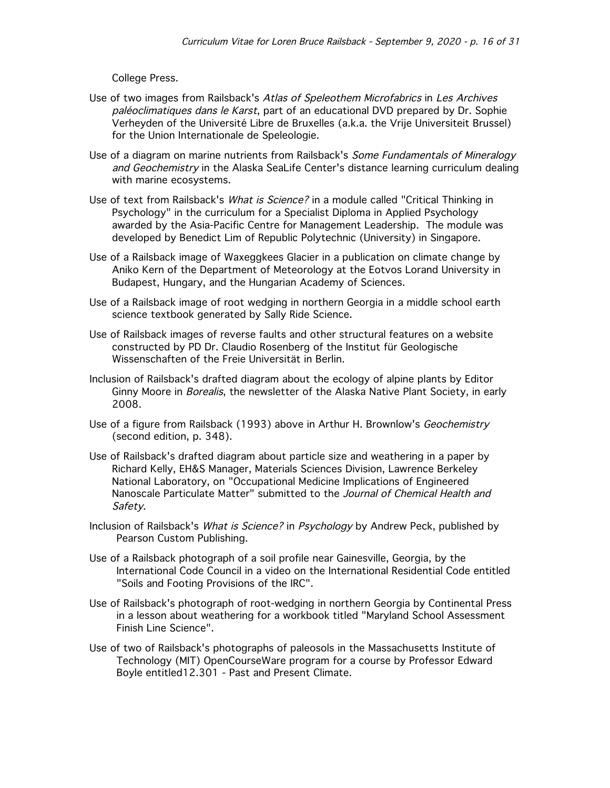College Press.

- Use of two images from Railsback's Atlas of Speleothem Microfabrics in Les Archives paléoclimatiques dans le Karst, part of an educational DVD prepared by Dr. Sophie Verheyden of the Université Libre de Bruxelles (a.k.a. the Vrije Universiteit Brussel) for the Union Internationale de Speleologie.
- Use of a diagram on marine nutrients from Railsback's Some Fundamentals of Mineralogy and Geochemistry in the Alaska SeaLife Center's distance learning curriculum dealing with marine ecosystems.
- Use of text from Railsback's *What is Science?* in a module called "Critical Thinking in Psychology" in the curriculum for a Specialist Diploma in Applied Psychology awarded by the Asia-Pacific Centre for Management Leadership. The module was developed by Benedict Lim of Republic Polytechnic (University) in Singapore.
- Use of a Railsback image of Waxeggkees Glacier in a publication on climate change by Aniko Kern of the Department of Meteorology at the Eotvos Lorand University in Budapest, Hungary, and the Hungarian Academy of Sciences.
- Use of a Railsback image of root wedging in northern Georgia in a middle school earth science textbook generated by Sally Ride Science.
- Use of Railsback images of reverse faults and other structural features on a website constructed by PD Dr. Claudio Rosenberg of the Institut für Geologische Wissenschaften of the Freie Universität in Berlin.
- Inclusion of Railsback's drafted diagram about the ecology of alpine plants by Editor Ginny Moore in *Borealis*, the newsletter of the Alaska Native Plant Society, in early 2008.
- Use of a figure from Railsback (1993) above in Arthur H. Brownlow's Geochemistry (second edition, p. 348).
- Use of Railsback's drafted diagram about particle size and weathering in a paper by Richard Kelly, EH&S Manager, Materials Sciences Division, Lawrence Berkeley National Laboratory, on "Occupational Medicine Implications of Engineered Nanoscale Particulate Matter" submitted to the Journal of Chemical Health and Safety.
- Inclusion of Railsback's What is Science? in Psychology by Andrew Peck, published by Pearson Custom Publishing.
- Use of a Railsback photograph of a soil profile near Gainesville, Georgia, by the International Code Council in a video on the International Residential Code entitled "Soils and Footing Provisions of the IRC".
- Use of Railsback's photograph of root-wedging in northern Georgia by Continental Press in a lesson about weathering for a workbook titled "Maryland School Assessment Finish Line Science".
- Use of two of Railsback's photographs of paleosols in the Massachusetts Institute of Technology (MIT) OpenCourseWare program for a course by Professor Edward Boyle entitled12.301 - Past and Present Climate.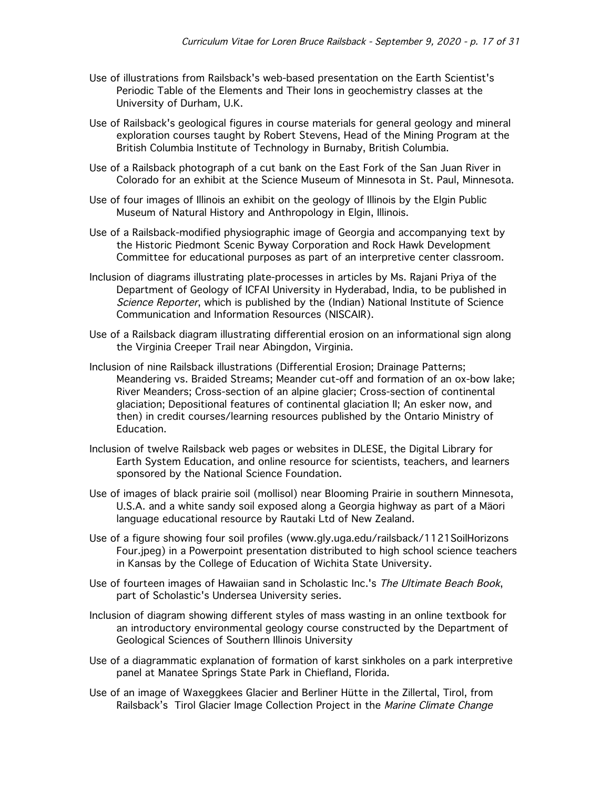- Use of illustrations from Railsback's web-based presentation on the Earth Scientist's Periodic Table of the Elements and Their Ions in geochemistry classes at the University of Durham, U.K.
- Use of Railsback's geological figures in course materials for general geology and mineral exploration courses taught by Robert Stevens, Head of the Mining Program at the British Columbia Institute of Technology in Burnaby, British Columbia.
- Use of a Railsback photograph of a cut bank on the East Fork of the San Juan River in Colorado for an exhibit at the Science Museum of Minnesota in St. Paul, Minnesota.
- Use of four images of Illinois an exhibit on the geology of Illinois by the Elgin Public Museum of Natural History and Anthropology in Elgin, Illinois.
- Use of a Railsback-modified physiographic image of Georgia and accompanying text by the Historic Piedmont Scenic Byway Corporation and Rock Hawk Development Committee for educational purposes as part of an interpretive center classroom.
- Inclusion of diagrams illustrating plate-processes in articles by Ms. Rajani Priya of the Department of Geology of ICFAI University in Hyderabad, India, to be published in Science Reporter, which is published by the (Indian) National Institute of Science Communication and Information Resources (NISCAIR).
- Use of a Railsback diagram illustrating differential erosion on an informational sign along the Virginia Creeper Trail near Abingdon, Virginia.
- Inclusion of nine Railsback illustrations (Differential Erosion; Drainage Patterns; Meandering vs. Braided Streams; Meander cut-off and formation of an ox-bow lake; River Meanders; Cross-section of an alpine glacier; Cross-section of continental glaciation; Depositional features of continental glaciation II; An esker now, and then) in credit courses/learning resources published by the Ontario Ministry of Education.
- Inclusion of twelve Railsback web pages or websites in DLESE, the Digital Library for Earth System Education, and online resource for scientists, teachers, and learners sponsored by the National Science Foundation.
- Use of images of black prairie soil (mollisol) near Blooming Prairie in southern Minnesota, U.S.A. and a white sandy soil exposed along a Georgia highway as part of a Mäori language educational resource by Rautaki Ltd of New Zealand.
- Use of a figure showing four soil profiles (www.gly.uga.edu/railsback/1121SoilHorizons Four.jpeg) in a Powerpoint presentation distributed to high school science teachers in Kansas by the College of Education of Wichita State University.
- Use of fourteen images of Hawaiian sand in Scholastic Inc.'s The Ultimate Beach Book, part of Scholastic's Undersea University series.
- Inclusion of diagram showing different styles of mass wasting in an online textbook for an introductory environmental geology course constructed by the Department of Geological Sciences of Southern Illinois University
- Use of a diagrammatic explanation of formation of karst sinkholes on a park interpretive panel at Manatee Springs State Park in Chiefland, Florida.
- Use of an image of Waxeggkees Glacier and Berliner Hütte in the Zillertal, Tirol, from Railsback's Tirol Glacier Image Collection Project in the Marine Climate Change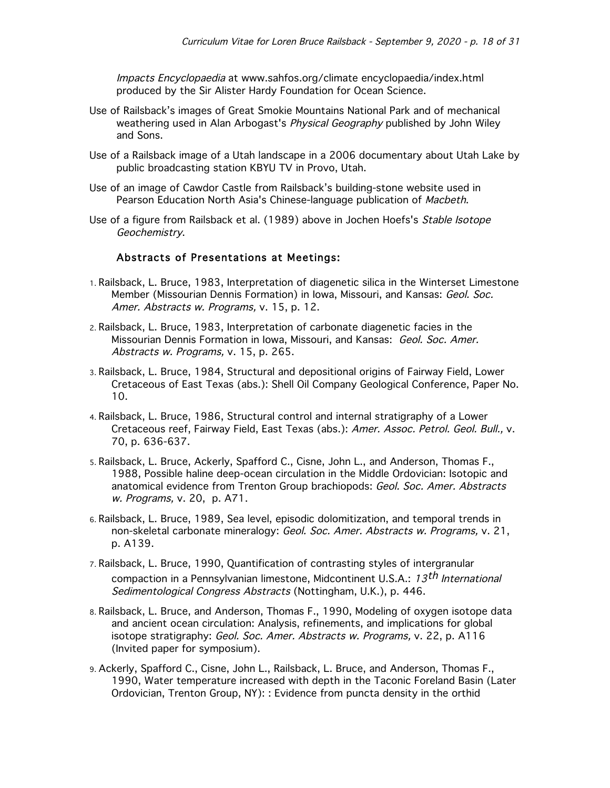Impacts Encyclopaedia at www.sahfos.org/climate encyclopaedia/index.html produced by the Sir Alister Hardy Foundation for Ocean Science.

- Use of Railsback's images of Great Smokie Mountains National Park and of mechanical weathering used in Alan Arbogast's *Physical Geography* published by John Wiley and Sons.
- Use of a Railsback image of a Utah landscape in a 2006 documentary about Utah Lake by public broadcasting station KBYU TV in Provo, Utah.
- Use of an image of Cawdor Castle from Railsback's building-stone website used in Pearson Education North Asia's Chinese-language publication of Macbeth.
- Use of a figure from Railsback et al. (1989) above in Jochen Hoefs's Stable Isotope Geochemistry.

### Abstracts of Presentations at Meetings:

- 1. Railsback, L. Bruce, 1983, Interpretation of diagenetic silica in the Winterset Limestone Member (Missourian Dennis Formation) in Iowa, Missouri, and Kansas: Geol. Soc. Amer. Abstracts w. Programs, v. 15, p. 12.
- 2. Railsback, L. Bruce, 1983, Interpretation of carbonate diagenetic facies in the Missourian Dennis Formation in Iowa, Missouri, and Kansas: Geol. Soc. Amer. Abstracts w. Programs, v. 15, p. 265.
- 3. Railsback, L. Bruce, 1984, Structural and depositional origins of Fairway Field, Lower Cretaceous of East Texas (abs.): Shell Oil Company Geological Conference, Paper No. 10.
- 4. Railsback, L. Bruce, 1986, Structural control and internal stratigraphy of a Lower Cretaceous reef, Fairway Field, East Texas (abs.): Amer. Assoc. Petrol. Geol. Bull., v. 70, p. 636-637.
- 5. Railsback, L. Bruce, Ackerly, Spafford C., Cisne, John L., and Anderson, Thomas F., 1988, Possible haline deep-ocean circulation in the Middle Ordovician: Isotopic and anatomical evidence from Trenton Group brachiopods: Geol. Soc. Amer. Abstracts w. Programs, v. 20, p. A71.
- 6. Railsback, L. Bruce, 1989, Sea level, episodic dolomitization, and temporal trends in non-skeletal carbonate mineralogy: Geol. Soc. Amer. Abstracts w. Programs, v. 21, p. A139.
- 7. Railsback, L. Bruce, 1990, Quantification of contrasting styles of intergranular compaction in a Pennsylvanian limestone, Midcontinent U.S.A.: 13<sup>th</sup> International Sedimentological Congress Abstracts (Nottingham, U.K.), p. 446.
- 8. Railsback, L. Bruce, and Anderson, Thomas F., 1990, Modeling of oxygen isotope data and ancient ocean circulation: Analysis, refinements, and implications for global isotope stratigraphy: Geol. Soc. Amer. Abstracts w. Programs, v. 22, p. A116 (Invited paper for symposium).
- 9. Ackerly, Spafford C., Cisne, John L., Railsback, L. Bruce, and Anderson, Thomas F., 1990, Water temperature increased with depth in the Taconic Foreland Basin (Later Ordovician, Trenton Group, NY): : Evidence from puncta density in the orthid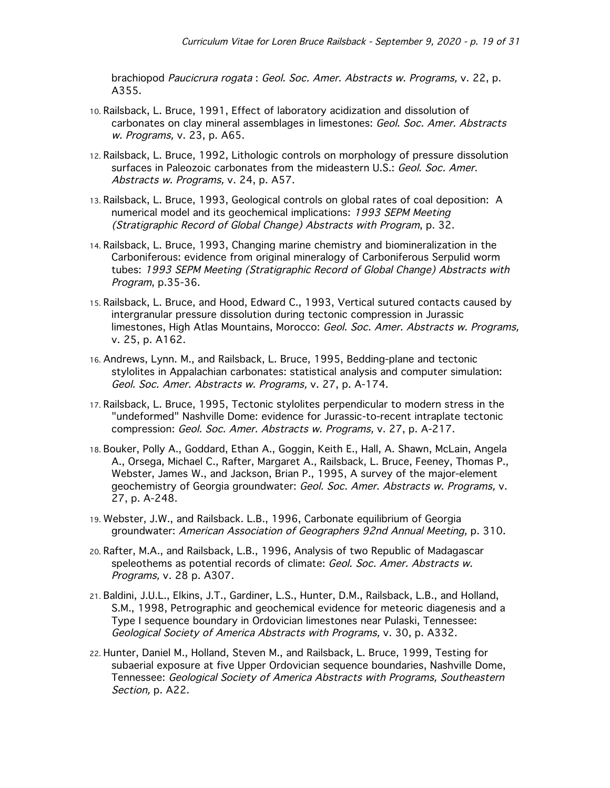brachiopod Paucicrura rogata : Geol. Soc. Amer. Abstracts w. Programs, v. 22, p. A355.

- 10. Railsback, L. Bruce, 1991, Effect of laboratory acidization and dissolution of carbonates on clay mineral assemblages in limestones: Geol. Soc. Amer. Abstracts w. Programs, v. 23, p. A65.
- 12. Railsback, L. Bruce, 1992, Lithologic controls on morphology of pressure dissolution surfaces in Paleozoic carbonates from the mideastern U.S.: Geol. Soc. Amer. Abstracts w. Programs, v. 24, p. A57.
- 13. Railsback, L. Bruce, 1993, Geological controls on global rates of coal deposition: A numerical model and its geochemical implications: 1993 SEPM Meeting (Stratigraphic Record of Global Change) Abstracts with Program, p. 32.
- 14. Railsback, L. Bruce, 1993, Changing marine chemistry and biomineralization in the Carboniferous: evidence from original mineralogy of Carboniferous Serpulid worm tubes: 1993 SEPM Meeting (Stratigraphic Record of Global Change) Abstracts with Program, p.35-36.
- 15. Railsback, L. Bruce, and Hood, Edward C., 1993, Vertical sutured contacts caused by intergranular pressure dissolution during tectonic compression in Jurassic limestones, High Atlas Mountains, Morocco: Geol. Soc. Amer. Abstracts w. Programs, v. 25, p. A162.
- 16. Andrews, Lynn. M., and Railsback, L. Bruce, 1995, Bedding-plane and tectonic stylolites in Appalachian carbonates: statistical analysis and computer simulation: Geol. Soc. Amer. Abstracts w. Programs, v. 27, p. A-174.
- 17. Railsback, L. Bruce, 1995, Tectonic stylolites perpendicular to modern stress in the "undeformed" Nashville Dome: evidence for Jurassic-to-recent intraplate tectonic compression: Geol. Soc. Amer. Abstracts w. Programs, v. 27, p. A-217.
- 18. Bouker, Polly A., Goddard, Ethan A., Goggin, Keith E., Hall, A. Shawn, McLain, Angela A., Orsega, Michael C., Rafter, Margaret A., Railsback, L. Bruce, Feeney, Thomas P., Webster, James W., and Jackson, Brian P., 1995, A survey of the major-element geochemistry of Georgia groundwater: Geol. Soc. Amer. Abstracts w. Programs, v. 27, p. A-248.
- 19. Webster, J.W., and Railsback. L.B., 1996, Carbonate equilibrium of Georgia groundwater: American Association of Geographers 92nd Annual Meeting, p. 310.
- 20. Rafter, M.A., and Railsback, L.B., 1996, Analysis of two Republic of Madagascar speleothems as potential records of climate: Geol. Soc. Amer. Abstracts w. Programs, v. 28 p. A307.
- 21. Baldini, J.U.L., Elkins, J.T., Gardiner, L.S., Hunter, D.M., Railsback, L.B., and Holland, S.M., 1998, Petrographic and geochemical evidence for meteoric diagenesis and a Type I sequence boundary in Ordovician limestones near Pulaski, Tennessee: Geological Society of America Abstracts with Programs, v. 30, p. A332.
- 22. Hunter, Daniel M., Holland, Steven M., and Railsback, L. Bruce, 1999, Testing for subaerial exposure at five Upper Ordovician sequence boundaries, Nashville Dome, Tennessee: Geological Society of America Abstracts with Programs, Southeastern Section, p. A22.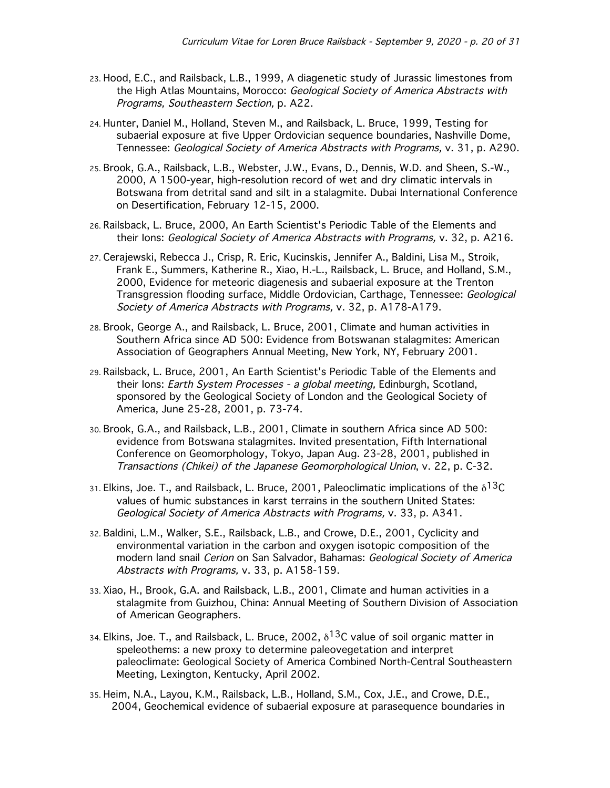- 23. Hood, E.C., and Railsback, L.B., 1999, A diagenetic study of Jurassic limestones from the High Atlas Mountains, Morocco: Geological Society of America Abstracts with Programs, Southeastern Section, p. A22.
- 24. Hunter, Daniel M., Holland, Steven M., and Railsback, L. Bruce, 1999, Testing for subaerial exposure at five Upper Ordovician sequence boundaries, Nashville Dome, Tennessee: Geological Society of America Abstracts with Programs, v. 31, p. A290.
- 25. Brook, G.A., Railsback, L.B., Webster, J.W., Evans, D., Dennis, W.D. and Sheen, S.-W., 2000, A 1500-year, high-resolution record of wet and dry climatic intervals in Botswana from detrital sand and silt in a stalagmite. Dubai International Conference on Desertification, February 12-15, 2000.
- 26. Railsback, L. Bruce, 2000, An Earth Scientist's Periodic Table of the Elements and their Ions: Geological Society of America Abstracts with Programs, v. 32, p. A216.
- 27. Cerajewski, Rebecca J., Crisp, R. Eric, Kucinskis, Jennifer A., Baldini, Lisa M., Stroik, Frank E., Summers, Katherine R., Xiao, H.-L., Railsback, L. Bruce, and Holland, S.M., 2000, Evidence for meteoric diagenesis and subaerial exposure at the Trenton Transgression flooding surface, Middle Ordovician, Carthage, Tennessee: Geological Society of America Abstracts with Programs, v. 32, p. A178-A179.
- 28. Brook, George A., and Railsback, L. Bruce, 2001, Climate and human activities in Southern Africa since AD 500: Evidence from Botswanan stalagmites: American Association of Geographers Annual Meeting, New York, NY, February 2001.
- 29. Railsback, L. Bruce, 2001, An Earth Scientist's Periodic Table of the Elements and their Ions: Earth System Processes - a global meeting, Edinburgh, Scotland, sponsored by the Geological Society of London and the Geological Society of America, June 25-28, 2001, p. 73-74.
- 30. Brook, G.A., and Railsback, L.B., 2001, Climate in southern Africa since AD 500: evidence from Botswana stalagmites. Invited presentation, Fifth International Conference on Geomorphology, Tokyo, Japan Aug. 23-28, 2001, published in Transactions (Chikei) of the Japanese Geomorphological Union, v. 22, p. C-32.
- 31. Elkins, Joe. T., and Railsback, L. Bruce, 2001, Paleoclimatic implications of the  $\delta^{13}C$ values of humic substances in karst terrains in the southern United States: Geological Society of America Abstracts with Programs, v. 33, p. A341.
- 32. Baldini, L.M., Walker, S.E., Railsback, L.B., and Crowe, D.E., 2001, Cyclicity and environmental variation in the carbon and oxygen isotopic composition of the modern land snail Cerion on San Salvador, Bahamas: Geological Society of America Abstracts with Programs, v. 33, p. A158-159.
- 33. Xiao, H., Brook, G.A. and Railsback, L.B., 2001, Climate and human activities in a stalagmite from Guizhou, China: Annual Meeting of Southern Division of Association of American Geographers.
- 34. Elkins, Joe. T., and Railsback, L. Bruce, 2002,  $\delta^{13}$ C value of soil organic matter in speleothems: a new proxy to determine paleovegetation and interpret paleoclimate: Geological Society of America Combined North-Central Southeastern Meeting, Lexington, Kentucky, April 2002.
- 35. Heim, N.A., Layou, K.M., Railsback, L.B., Holland, S.M., Cox, J.E., and Crowe, D.E., 2004, Geochemical evidence of subaerial exposure at parasequence boundaries in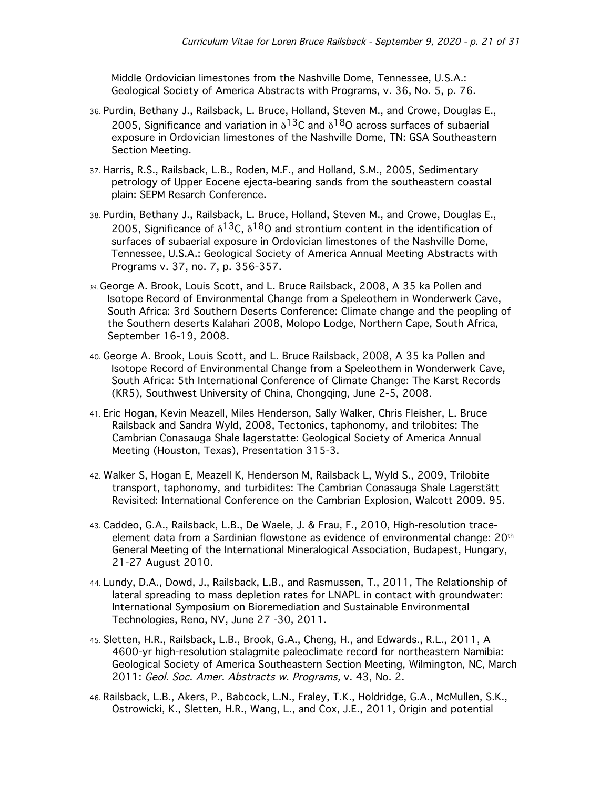Middle Ordovician limestones from the Nashville Dome, Tennessee, U.S.A.: Geological Society of America Abstracts with Programs, v. 36, No. 5, p. 76.

- 36. Purdin, Bethany J., Railsback, L. Bruce, Holland, Steven M., and Crowe, Douglas E., 2005, Significance and variation in  $\delta^{13}$ C and  $\delta^{18}$ O across surfaces of subaerial exposure in Ordovician limestones of the Nashville Dome, TN: GSA Southeastern Section Meeting.
- 37. Harris, R.S., Railsback, L.B., Roden, M.F., and Holland, S.M., 2005, Sedimentary petrology of Upper Eocene ejecta-bearing sands from the southeastern coastal plain: SEPM Resarch Conference.
- 38. Purdin, Bethany J., Railsback, L. Bruce, Holland, Steven M., and Crowe, Douglas E., 2005, Significance of  $\delta^{13}$ C,  $\delta^{18}$ O and strontium content in the identification of surfaces of subaerial exposure in Ordovician limestones of the Nashville Dome, Tennessee, U.S.A.: Geological Society of America Annual Meeting Abstracts with Programs v. 37, no. 7, p. 356-357.
- 39. George A. Brook, Louis Scott, and L. Bruce Railsback, 2008, A 35 ka Pollen and Isotope Record of Environmental Change from a Speleothem in Wonderwerk Cave, South Africa: 3rd Southern Deserts Conference: Climate change and the peopling of the Southern deserts Kalahari 2008, Molopo Lodge, Northern Cape, South Africa, September 16-19, 2008.
- 40. George A. Brook, Louis Scott, and L. Bruce Railsback, 2008, A 35 ka Pollen and Isotope Record of Environmental Change from a Speleothem in Wonderwerk Cave, South Africa: 5th International Conference of Climate Change: The Karst Records (KR5), Southwest University of China, Chongqing, June 2-5, 2008.
- 41. Eric Hogan, Kevin Meazell, Miles Henderson, Sally Walker, Chris Fleisher, L. Bruce Railsback and Sandra Wyld, 2008, Tectonics, taphonomy, and trilobites: The Cambrian Conasauga Shale lagerstatte: Geological Society of America Annual Meeting (Houston, Texas), Presentation 315-3.
- 42. Walker S, Hogan E, Meazell K, Henderson M, Railsback L, Wyld S., 2009, Trilobite transport, taphonomy, and turbidites: The Cambrian Conasauga Shale Lagerstätt Revisited: International Conference on the Cambrian Explosion, Walcott 2009. 95.
- 43. Caddeo, G.A., Railsback, L.B., De Waele, J. & Frau, F., 2010, High-resolution traceelement data from a Sardinian flowstone as evidence of environmental change: 20th General Meeting of the International Mineralogical Association, Budapest, Hungary, 21-27 August 2010.
- 44. Lundy, D.A., Dowd, J., Railsback, L.B., and Rasmussen, T., 2011, The Relationship of lateral spreading to mass depletion rates for LNAPL in contact with groundwater: International Symposium on Bioremediation and Sustainable Environmental Technologies, Reno, NV, June 27 -30, 2011.
- 45. Sletten, H.R., Railsback, L.B., Brook, G.A., Cheng, H., and Edwards., R.L., 2011, A 4600-yr high-resolution stalagmite paleoclimate record for northeastern Namibia: Geological Society of America Southeastern Section Meeting, Wilmington, NC, March 2011: Geol. Soc. Amer. Abstracts w. Programs, v. 43, No. 2.
- 46. Railsback, L.B., Akers, P., Babcock, L.N., Fraley, T.K., Holdridge, G.A., McMullen, S.K., Ostrowicki, K., Sletten, H.R., Wang, L., and Cox, J.E., 2011, Origin and potential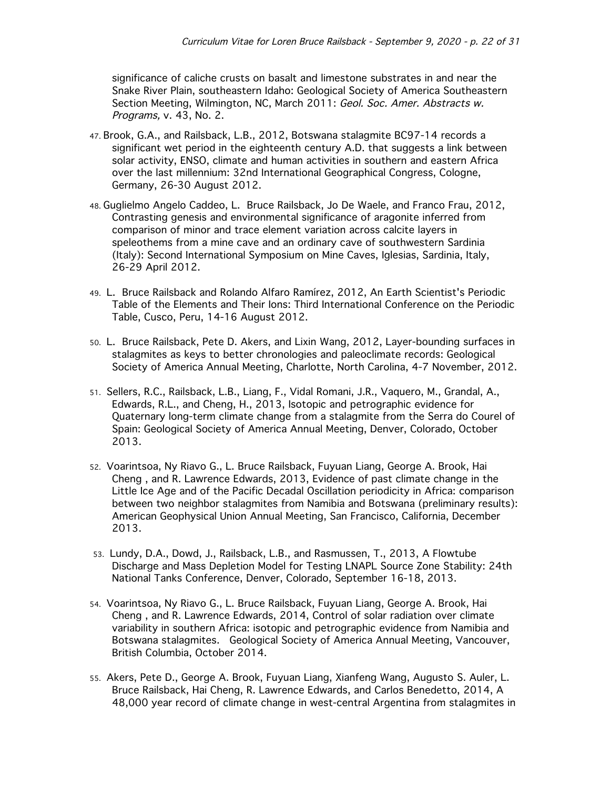significance of caliche crusts on basalt and limestone substrates in and near the Snake River Plain, southeastern Idaho: Geological Society of America Southeastern Section Meeting, Wilmington, NC, March 2011: Geol. Soc. Amer. Abstracts w. Programs, v. 43, No. 2.

- 47. Brook, G.A., and Railsback, L.B., 2012, Botswana stalagmite BC97-14 records a significant wet period in the eighteenth century A.D. that suggests a link between solar activity, ENSO, climate and human activities in southern and eastern Africa over the last millennium: 32nd International Geographical Congress, Cologne, Germany, 26-30 August 2012.
- 48. Guglielmo Angelo Caddeo, L. Bruce Railsback, Jo De Waele, and Franco Frau, 2012, Contrasting genesis and environmental significance of aragonite inferred from comparison of minor and trace element variation across calcite layers in speleothems from a mine cave and an ordinary cave of southwestern Sardinia (Italy): Second International Symposium on Mine Caves, Iglesias, Sardinia, Italy, 26-29 April 2012.
- 49. L. Bruce Railsback and Rolando Alfaro Ramírez, 2012, An Earth Scientist's Periodic Table of the Elements and Their Ions: Third International Conference on the Periodic Table, Cusco, Peru, 14-16 August 2012.
- 50. L. Bruce Railsback, Pete D. Akers, and Lixin Wang, 2012, Layer-bounding surfaces in stalagmites as keys to better chronologies and paleoclimate records: Geological Society of America Annual Meeting, Charlotte, North Carolina, 4-7 November, 2012.
- 51. Sellers, R.C., Railsback, L.B., Liang, F., Vidal Romani, J.R., Vaquero, M., Grandal, A., Edwards, R.L., and Cheng, H., 2013, Isotopic and petrographic evidence for Quaternary long-term climate change from a stalagmite from the Serra do Courel of Spain: Geological Society of America Annual Meeting, Denver, Colorado, October 2013.
- 52. Voarintsoa, Ny Riavo G., L. Bruce Railsback, Fuyuan Liang, George A. Brook, Hai Cheng , and R. Lawrence Edwards, 2013, Evidence of past climate change in the Little Ice Age and of the Pacific Decadal Oscillation periodicity in Africa: comparison between two neighbor stalagmites from Namibia and Botswana (preliminary results): American Geophysical Union Annual Meeting, San Francisco, California, December 2013.
- 53. Lundy, D.A., Dowd, J., Railsback, L.B., and Rasmussen, T., 2013, A Flowtube Discharge and Mass Depletion Model for Testing LNAPL Source Zone Stability: 24th National Tanks Conference, Denver, Colorado, September 16-18, 2013.
- 54. Voarintsoa, Ny Riavo G., L. Bruce Railsback, Fuyuan Liang, George A. Brook, Hai Cheng , and R. Lawrence Edwards, 2014, Control of solar radiation over climate variability in southern Africa: isotopic and petrographic evidence from Namibia and Botswana stalagmites. Geological Society of America Annual Meeting, Vancouver, British Columbia, October 2014.
- 55. Akers, Pete D., George A. Brook, Fuyuan Liang, Xianfeng Wang, Augusto S. Auler, L. Bruce Railsback, Hai Cheng, R. Lawrence Edwards, and Carlos Benedetto, 2014, A 48,000 year record of climate change in west-central Argentina from stalagmites in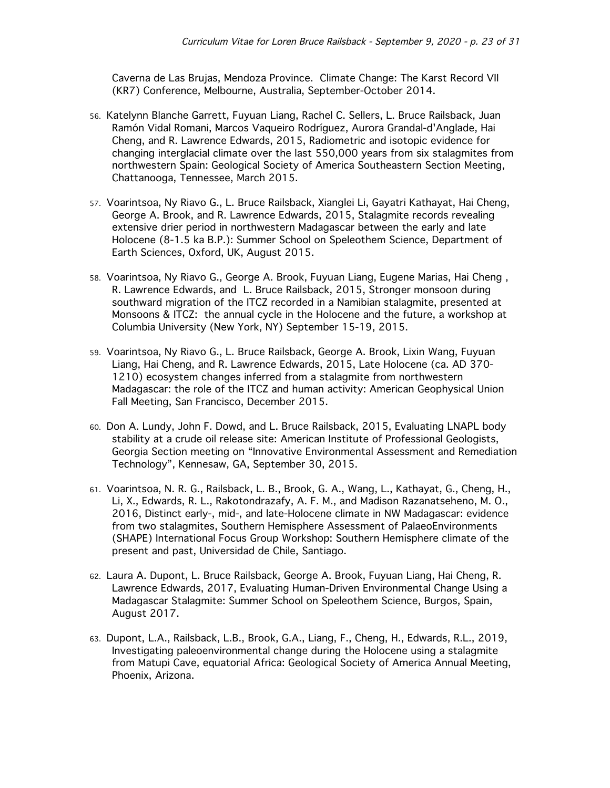Caverna de Las Brujas, Mendoza Province. Climate Change: The Karst Record VII (KR7) Conference, Melbourne, Australia, September-October 2014.

- 56. Katelynn Blanche Garrett, Fuyuan Liang, Rachel C. Sellers, L. Bruce Railsback, Juan Ramón Vidal Romani, Marcos Vaqueiro Rodríguez, Aurora Grandal-d'Anglade, Hai Cheng, and R. Lawrence Edwards, 2015, Radiometric and isotopic evidence for changing interglacial climate over the last 550,000 years from six stalagmites from northwestern Spain: Geological Society of America Southeastern Section Meeting, Chattanooga, Tennessee, March 2015.
- 57. Voarintsoa, Ny Riavo G., L. Bruce Railsback, Xianglei Li, Gayatri Kathayat, Hai Cheng, George A. Brook, and R. Lawrence Edwards, 2015, Stalagmite records revealing extensive drier period in northwestern Madagascar between the early and late Holocene (8-1.5 ka B.P.): Summer School on Speleothem Science, Department of Earth Sciences, Oxford, UK, August 2015.
- 58. Voarintsoa, Ny Riavo G., George A. Brook, Fuyuan Liang, Eugene Marias, Hai Cheng , R. Lawrence Edwards, and L. Bruce Railsback, 2015, Stronger monsoon during southward migration of the ITCZ recorded in a Namibian stalagmite, presented at Monsoons & ITCZ: the annual cycle in the Holocene and the future, a workshop at Columbia University (New York, NY) September 15-19, 2015.
- 59. Voarintsoa, Ny Riavo G., L. Bruce Railsback, George A. Brook, Lixin Wang, Fuyuan Liang, Hai Cheng, and R. Lawrence Edwards, 2015, Late Holocene (ca. AD 370- 1210) ecosystem changes inferred from a stalagmite from northwestern Madagascar: the role of the ITCZ and human activity: American Geophysical Union Fall Meeting, San Francisco, December 2015.
- 60. Don A. Lundy, John F. Dowd, and L. Bruce Railsback, 2015, Evaluating LNAPL body stability at a crude oil release site: American Institute of Professional Geologists, Georgia Section meeting on "Innovative Environmental Assessment and Remediation Technology", Kennesaw, GA, September 30, 2015.
- 61. Voarintsoa, N. R. G., Railsback, L. B., Brook, G. A., Wang, L., Kathayat, G., Cheng, H., Li, X., Edwards, R. L., Rakotondrazafy, A. F. M., and Madison Razanatseheno, M. O., 2016, Distinct early-, mid-, and late-Holocene climate in NW Madagascar: evidence from two stalagmites, Southern Hemisphere Assessment of PalaeoEnvironments (SHAPE) International Focus Group Workshop: Southern Hemisphere climate of the present and past, Universidad de Chile, Santiago.
- 62. Laura A. Dupont, L. Bruce Railsback, George A. Brook, Fuyuan Liang, Hai Cheng, R. Lawrence Edwards, 2017, Evaluating Human-Driven Environmental Change Using a Madagascar Stalagmite: Summer School on Speleothem Science, Burgos, Spain, August 2017.
- 63. Dupont, L.A., Railsback, L.B., Brook, G.A., Liang, F., Cheng, H., Edwards, R.L., 2019, Investigating paleoenvironmental change during the Holocene using a stalagmite from Matupi Cave, equatorial Africa: Geological Society of America Annual Meeting, Phoenix, Arizona.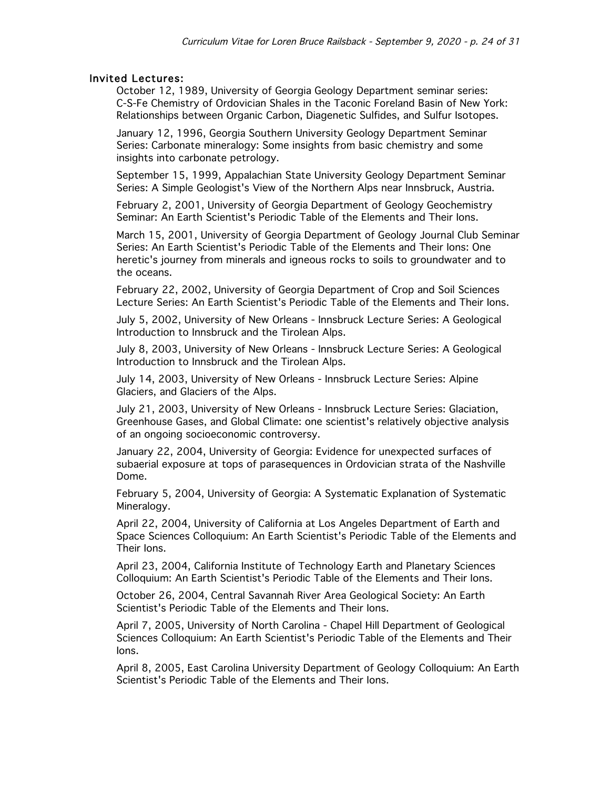#### Invited Lectures:

October 12, 1989, University of Georgia Geology Department seminar series: C-S-Fe Chemistry of Ordovician Shales in the Taconic Foreland Basin of New York: Relationships between Organic Carbon, Diagenetic Sulfides, and Sulfur Isotopes.

January 12, 1996, Georgia Southern University Geology Department Seminar Series: Carbonate mineralogy: Some insights from basic chemistry and some insights into carbonate petrology.

September 15, 1999, Appalachian State University Geology Department Seminar Series: A Simple Geologist's View of the Northern Alps near Innsbruck, Austria.

February 2, 2001, University of Georgia Department of Geology Geochemistry Seminar: An Earth Scientist's Periodic Table of the Elements and Their Ions.

March 15, 2001, University of Georgia Department of Geology Journal Club Seminar Series: An Earth Scientist's Periodic Table of the Elements and Their Ions: One heretic's journey from minerals and igneous rocks to soils to groundwater and to the oceans.

February 22, 2002, University of Georgia Department of Crop and Soil Sciences Lecture Series: An Earth Scientist's Periodic Table of the Elements and Their Ions.

July 5, 2002, University of New Orleans - Innsbruck Lecture Series: A Geological Introduction to Innsbruck and the Tirolean Alps.

July 8, 2003, University of New Orleans - Innsbruck Lecture Series: A Geological Introduction to Innsbruck and the Tirolean Alps.

July 14, 2003, University of New Orleans - Innsbruck Lecture Series: Alpine Glaciers, and Glaciers of the Alps.

July 21, 2003, University of New Orleans - Innsbruck Lecture Series: Glaciation, Greenhouse Gases, and Global Climate: one scientist's relatively objective analysis of an ongoing socioeconomic controversy.

January 22, 2004, University of Georgia: Evidence for unexpected surfaces of subaerial exposure at tops of parasequences in Ordovician strata of the Nashville Dome.

February 5, 2004, University of Georgia: A Systematic Explanation of Systematic Mineralogy.

April 22, 2004, University of California at Los Angeles Department of Earth and Space Sciences Colloquium: An Earth Scientist's Periodic Table of the Elements and Their Ions.

April 23, 2004, California Institute of Technology Earth and Planetary Sciences Colloquium: An Earth Scientist's Periodic Table of the Elements and Their Ions.

October 26, 2004, Central Savannah River Area Geological Society: An Earth Scientist's Periodic Table of the Elements and Their Ions.

April 7, 2005, University of North Carolina - Chapel Hill Department of Geological Sciences Colloquium: An Earth Scientist's Periodic Table of the Elements and Their Ions.

April 8, 2005, East Carolina University Department of Geology Colloquium: An Earth Scientist's Periodic Table of the Elements and Their Ions.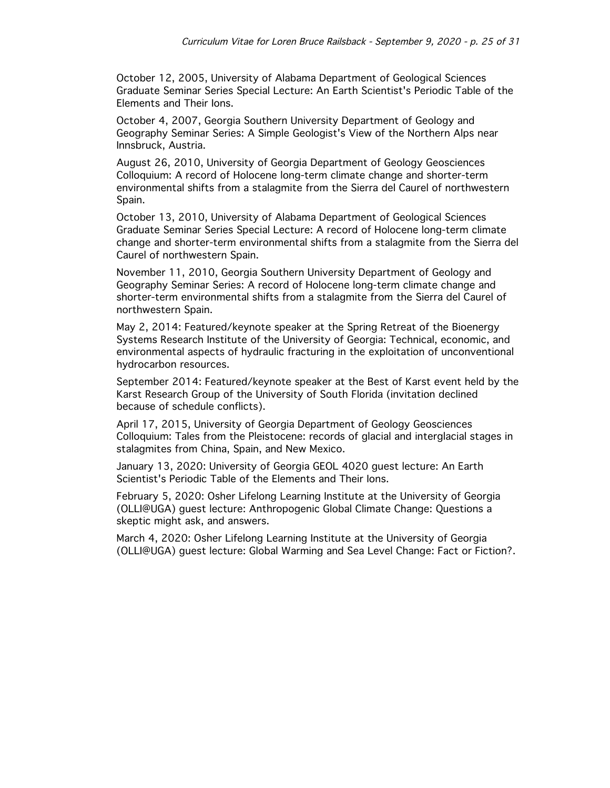October 12, 2005, University of Alabama Department of Geological Sciences Graduate Seminar Series Special Lecture: An Earth Scientist's Periodic Table of the Elements and Their Ions.

October 4, 2007, Georgia Southern University Department of Geology and Geography Seminar Series: A Simple Geologist's View of the Northern Alps near Innsbruck, Austria.

August 26, 2010, University of Georgia Department of Geology Geosciences Colloquium: A record of Holocene long-term climate change and shorter-term environmental shifts from a stalagmite from the Sierra del Caurel of northwestern Spain.

October 13, 2010, University of Alabama Department of Geological Sciences Graduate Seminar Series Special Lecture: A record of Holocene long-term climate change and shorter-term environmental shifts from a stalagmite from the Sierra del Caurel of northwestern Spain.

November 11, 2010, Georgia Southern University Department of Geology and Geography Seminar Series: A record of Holocene long-term climate change and shorter-term environmental shifts from a stalagmite from the Sierra del Caurel of northwestern Spain.

May 2, 2014: Featured/keynote speaker at the Spring Retreat of the Bioenergy Systems Research Institute of the University of Georgia: Technical, economic, and environmental aspects of hydraulic fracturing in the exploitation of unconventional hydrocarbon resources.

September 2014: Featured/keynote speaker at the Best of Karst event held by the Karst Research Group of the University of South Florida (invitation declined because of schedule conflicts).

April 17, 2015, University of Georgia Department of Geology Geosciences Colloquium: Tales from the Pleistocene: records of glacial and interglacial stages in stalagmites from China, Spain, and New Mexico.

January 13, 2020: University of Georgia GEOL 4020 guest lecture: An Earth Scientist's Periodic Table of the Elements and Their Ions.

February 5, 2020: Osher Lifelong Learning Institute at the University of Georgia (OLLI@UGA) guest lecture: Anthropogenic Global Climate Change: Questions a skeptic might ask, and answers.

March 4, 2020: Osher Lifelong Learning Institute at the University of Georgia (OLLI@UGA) guest lecture: Global Warming and Sea Level Change: Fact or Fiction?.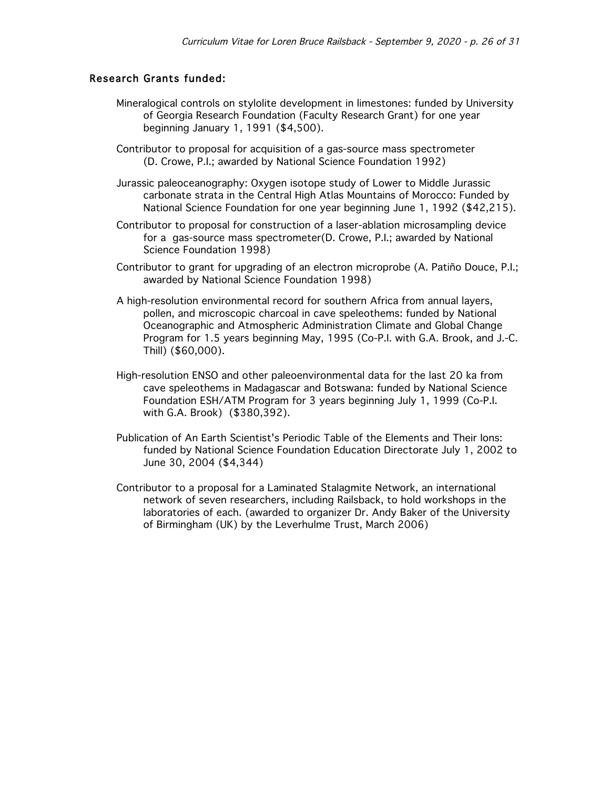# Research Grants funded:

- Mineralogical controls on stylolite development in limestones: funded by University of Georgia Research Foundation (Faculty Research Grant) for one year beginning January 1, 1991 (\$4,500).
- Contributor to proposal for acquisition of a gas-source mass spectrometer (D. Crowe, P.I.; awarded by National Science Foundation 1992)
- Jurassic paleoceanography: Oxygen isotope study of Lower to Middle Jurassic carbonate strata in the Central High Atlas Mountains of Morocco: Funded by National Science Foundation for one year beginning June 1, 1992 (\$42,215).
- Contributor to proposal for construction of a laser-ablation microsampling device for a gas-source mass spectrometer(D. Crowe, P.I.; awarded by National Science Foundation 1998)
- Contributor to grant for upgrading of an electron microprobe (A. Patiño Douce, P.I.; awarded by National Science Foundation 1998)
- A high-resolution environmental record for southern Africa from annual layers, pollen, and microscopic charcoal in cave speleothems: funded by National Oceanographic and Atmospheric Administration Climate and Global Change Program for 1.5 years beginning May, 1995 (Co-P.I. with G.A. Brook, and J.-C. Thill) (\$60,000).
- High-resolution ENSO and other paleoenvironmental data for the last 20 ka from cave speleothems in Madagascar and Botswana: funded by National Science Foundation ESH/ATM Program for 3 years beginning July 1, 1999 (Co-P.I. with G.A. Brook) (\$380,392).
- Publication of An Earth Scientist's Periodic Table of the Elements and Their Ions: funded by National Science Foundation Education Directorate July 1, 2002 to June 30, 2004 (\$4,344)
- Contributor to a proposal for a Laminated Stalagmite Network, an international network of seven researchers, including Railsback, to hold workshops in the laboratories of each. (awarded to organizer Dr. Andy Baker of the University of Birmingham (UK) by the Leverhulme Trust, March 2006)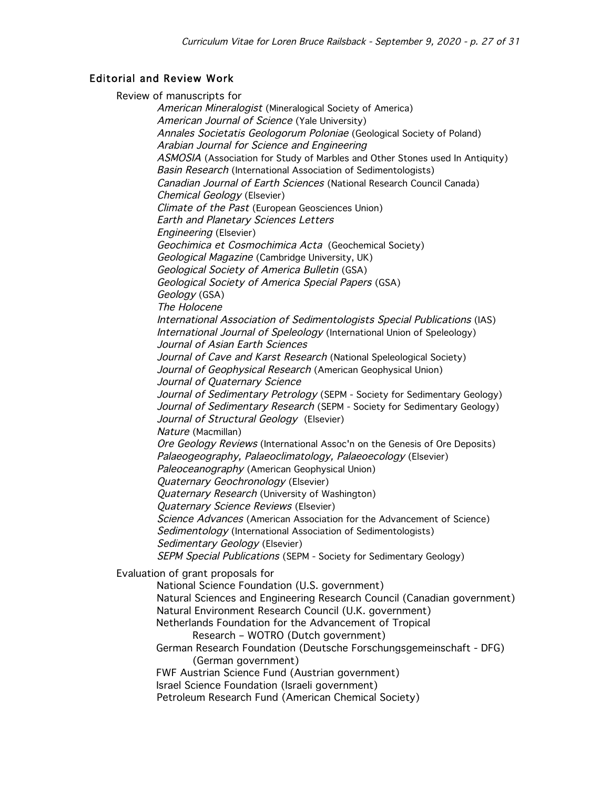# Editorial and Review Work

Review of manuscripts for

American Mineralogist (Mineralogical Society of America) American Journal of Science (Yale University) Annales Societatis Geologorum Poloniae (Geological Society of Poland) Arabian Journal for Science and Engineering ASMOSIA (Association for Study of Marbles and Other Stones used In Antiquity) Basin Research (International Association of Sedimentologists) Canadian Journal of Earth Sciences (National Research Council Canada) Chemical Geology (Elsevier) Climate of the Past (European Geosciences Union) Earth and Planetary Sciences Letters Engineering (Elsevier) Geochimica et Cosmochimica Acta (Geochemical Society) Geological Magazine (Cambridge University, UK) Geological Society of America Bulletin (GSA) Geological Society of America Special Papers (GSA) Geology (GSA) The Holocene International Association of Sedimentologists Special Publications (IAS) International Journal of Speleology (International Union of Speleology) Journal of Asian Earth Sciences Journal of Cave and Karst Research (National Speleological Society) Journal of Geophysical Research (American Geophysical Union) Journal of Quaternary Science Journal of Sedimentary Petrology (SEPM - Society for Sedimentary Geology) Journal of Sedimentary Research (SEPM - Society for Sedimentary Geology) Journal of Structural Geology (Elsevier) Nature (Macmillan) Ore Geology Reviews (International Assoc'n on the Genesis of Ore Deposits) Palaeogeography, Palaeoclimatology, Palaeoecology (Elsevier) Paleoceanography (American Geophysical Union) Quaternary Geochronology (Elsevier) **Quaternary Research (University of Washington)** Quaternary Science Reviews (Elsevier) Science Advances (American Association for the Advancement of Science) Sedimentology (International Association of Sedimentologists) Sedimentary Geology (Elsevier) SEPM Special Publications (SEPM - Society for Sedimentary Geology) Evaluation of grant proposals for National Science Foundation (U.S. government) Natural Sciences and Engineering Research Council (Canadian government) Natural Environment Research Council (U.K. government) Netherlands Foundation for the Advancement of Tropical Research – WOTRO (Dutch government) German Research Foundation (Deutsche Forschungsgemeinschaft - DFG) (German government) FWF Austrian Science Fund (Austrian government) Israel Science Foundation (Israeli government) Petroleum Research Fund (American Chemical Society)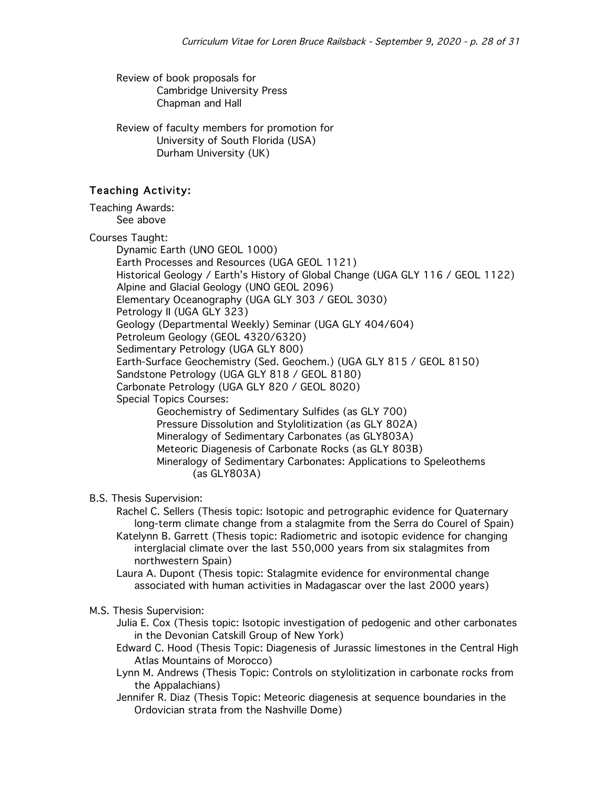Review of book proposals for Cambridge University Press Chapman and Hall

Review of faculty members for promotion for University of South Florida (USA) Durham University (UK)

# Teaching Activity:

Teaching Awards: See above

Courses Taught:

Dynamic Earth (UNO GEOL 1000) Earth Processes and Resources (UGA GEOL 1121) Historical Geology / Earth's History of Global Change (UGA GLY 116 / GEOL 1122) Alpine and Glacial Geology (UNO GEOL 2096) Elementary Oceanography (UGA GLY 303 / GEOL 3030) Petrology II (UGA GLY 323) Geology (Departmental Weekly) Seminar (UGA GLY 404/604) Petroleum Geology (GEOL 4320/6320) Sedimentary Petrology (UGA GLY 800) Earth-Surface Geochemistry (Sed. Geochem.) (UGA GLY 815 / GEOL 8150) Sandstone Petrology (UGA GLY 818 / GEOL 8180) Carbonate Petrology (UGA GLY 820 / GEOL 8020) Special Topics Courses: Geochemistry of Sedimentary Sulfides (as GLY 700) Pressure Dissolution and Stylolitization (as GLY 802A) Mineralogy of Sedimentary Carbonates (as GLY803A) Meteoric Diagenesis of Carbonate Rocks (as GLY 803B) Mineralogy of Sedimentary Carbonates: Applications to Speleothems (as GLY803A)

### B.S. Thesis Supervision:

Rachel C. Sellers (Thesis topic: Isotopic and petrographic evidence for Quaternary long-term climate change from a stalagmite from the Serra do Courel of Spain) Katelynn B. Garrett (Thesis topic: Radiometric and isotopic evidence for changing interglacial climate over the last 550,000 years from six stalagmites from northwestern Spain)

Laura A. Dupont (Thesis topic: Stalagmite evidence for environmental change associated with human activities in Madagascar over the last 2000 years)

#### M.S. Thesis Supervision:

Julia E. Cox (Thesis topic: Isotopic investigation of pedogenic and other carbonates in the Devonian Catskill Group of New York)

- Edward C. Hood (Thesis Topic: Diagenesis of Jurassic limestones in the Central High Atlas Mountains of Morocco)
- Lynn M. Andrews (Thesis Topic: Controls on stylolitization in carbonate rocks from the Appalachians)
- Jennifer R. Diaz (Thesis Topic: Meteoric diagenesis at sequence boundaries in the Ordovician strata from the Nashville Dome)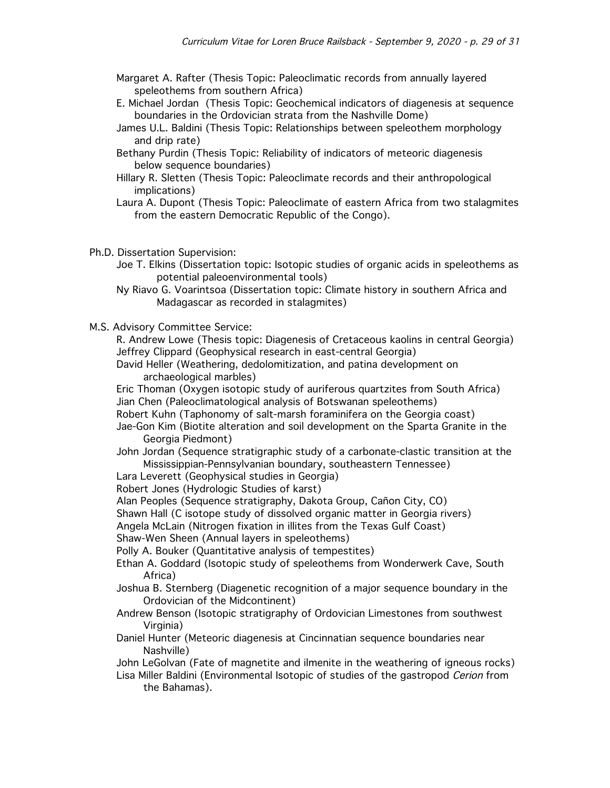- Margaret A. Rafter (Thesis Topic: Paleoclimatic records from annually layered speleothems from southern Africa)
- E. Michael Jordan (Thesis Topic: Geochemical indicators of diagenesis at sequence boundaries in the Ordovician strata from the Nashville Dome)
- James U.L. Baldini (Thesis Topic: Relationships between speleothem morphology and drip rate)
- Bethany Purdin (Thesis Topic: Reliability of indicators of meteoric diagenesis below sequence boundaries)
- Hillary R. Sletten (Thesis Topic: Paleoclimate records and their anthropological implications)
- Laura A. Dupont (Thesis Topic: Paleoclimate of eastern Africa from two stalagmites from the eastern Democratic Republic of the Congo).
- Ph.D. Dissertation Supervision:
	- Joe T. Elkins (Dissertation topic: Isotopic studies of organic acids in speleothems as potential paleoenvironmental tools)
	- Ny Riavo G. Voarintsoa (Dissertation topic: Climate history in southern Africa and Madagascar as recorded in stalagmites)
- M.S. Advisory Committee Service:

R. Andrew Lowe (Thesis topic: Diagenesis of Cretaceous kaolins in central Georgia) Jeffrey Clippard (Geophysical research in east-central Georgia)

David Heller (Weathering, dedolomitization, and patina development on archaeological marbles)

Eric Thoman (Oxygen isotopic study of auriferous quartzites from South Africa) Jian Chen (Paleoclimatological analysis of Botswanan speleothems)

Robert Kuhn (Taphonomy of salt-marsh foraminifera on the Georgia coast)

- Jae-Gon Kim (Biotite alteration and soil development on the Sparta Granite in the Georgia Piedmont)
- John Jordan (Sequence stratigraphic study of a carbonate-clastic transition at the Mississippian-Pennsylvanian boundary, southeastern Tennessee)
- Lara Leverett (Geophysical studies in Georgia)
- Robert Jones (Hydrologic Studies of karst)
- Alan Peoples (Sequence stratigraphy, Dakota Group, Cañon City, CO)
- Shawn Hall (C isotope study of dissolved organic matter in Georgia rivers)
- Angela McLain (Nitrogen fixation in illites from the Texas Gulf Coast)
- Shaw-Wen Sheen (Annual layers in speleothems)

Polly A. Bouker (Quantitative analysis of tempestites)

- Ethan A. Goddard (Isotopic study of speleothems from Wonderwerk Cave, South Africa)
- Joshua B. Sternberg (Diagenetic recognition of a major sequence boundary in the Ordovician of the Midcontinent)
- Andrew Benson (Isotopic stratigraphy of Ordovician Limestones from southwest Virginia)
- Daniel Hunter (Meteoric diagenesis at Cincinnatian sequence boundaries near Nashville)
- John LeGolvan (Fate of magnetite and ilmenite in the weathering of igneous rocks) Lisa Miller Baldini (Environmental Isotopic of studies of the gastropod Cerion from the Bahamas).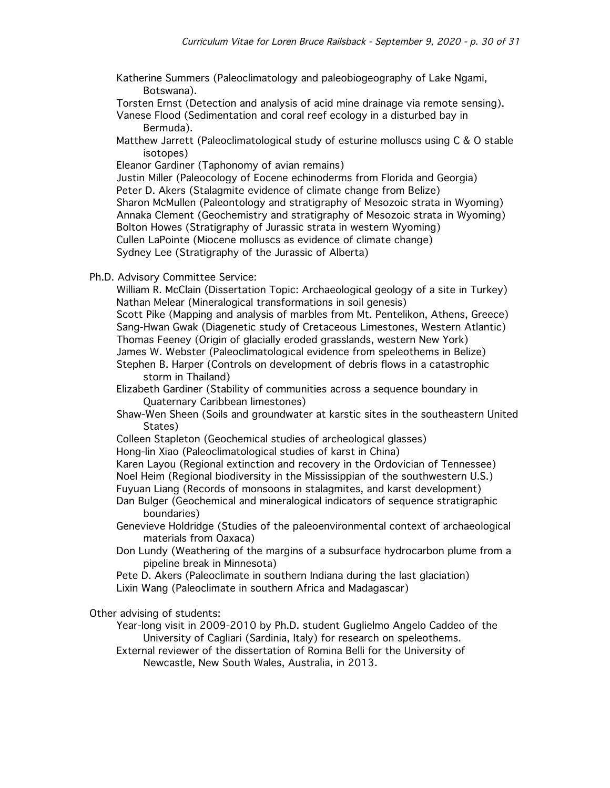Katherine Summers (Paleoclimatology and paleobiogeography of Lake Ngami, Botswana).

Torsten Ernst (Detection and analysis of acid mine drainage via remote sensing).

- Vanese Flood (Sedimentation and coral reef ecology in a disturbed bay in Bermuda).
- Matthew Jarrett (Paleoclimatological study of esturine molluscs using C & O stable isotopes)

Eleanor Gardiner (Taphonomy of avian remains)

Justin Miller (Paleocology of Eocene echinoderms from Florida and Georgia) Peter D. Akers (Stalagmite evidence of climate change from Belize) Sharon McMullen (Paleontology and stratigraphy of Mesozoic strata in Wyoming) Annaka Clement (Geochemistry and stratigraphy of Mesozoic strata in Wyoming) Bolton Howes (Stratigraphy of Jurassic strata in western Wyoming) Cullen LaPointe (Miocene molluscs as evidence of climate change) Sydney Lee (Stratigraphy of the Jurassic of Alberta)

Ph.D. Advisory Committee Service:

William R. McClain (Dissertation Topic: Archaeological geology of a site in Turkey) Nathan Melear (Mineralogical transformations in soil genesis)

Scott Pike (Mapping and analysis of marbles from Mt. Pentelikon, Athens, Greece) Sang-Hwan Gwak (Diagenetic study of Cretaceous Limestones, Western Atlantic) Thomas Feeney (Origin of glacially eroded grasslands, western New York) James W. Webster (Paleoclimatological evidence from speleothems in Belize)

Stephen B. Harper (Controls on development of debris flows in a catastrophic storm in Thailand)

Elizabeth Gardiner (Stability of communities across a sequence boundary in Quaternary Caribbean limestones)

- Shaw-Wen Sheen (Soils and groundwater at karstic sites in the southeastern United States)
- Colleen Stapleton (Geochemical studies of archeological glasses)

Hong-lin Xiao (Paleoclimatological studies of karst in China)

Karen Layou (Regional extinction and recovery in the Ordovician of Tennessee) Noel Heim (Regional biodiversity in the Mississippian of the southwestern U.S.) Fuyuan Liang (Records of monsoons in stalagmites, and karst development)

Dan Bulger (Geochemical and mineralogical indicators of sequence stratigraphic

boundaries)

- Genevieve Holdridge (Studies of the paleoenvironmental context of archaeological materials from Oaxaca)
- Don Lundy (Weathering of the margins of a subsurface hydrocarbon plume from a pipeline break in Minnesota)

Pete D. Akers (Paleoclimate in southern Indiana during the last glaciation) Lixin Wang (Paleoclimate in southern Africa and Madagascar)

Other advising of students:

Year-long visit in 2009-2010 by Ph.D. student Guglielmo Angelo Caddeo of the University of Cagliari (Sardinia, Italy) for research on speleothems.

External reviewer of the dissertation of Romina Belli for the University of Newcastle, New South Wales, Australia, in 2013.